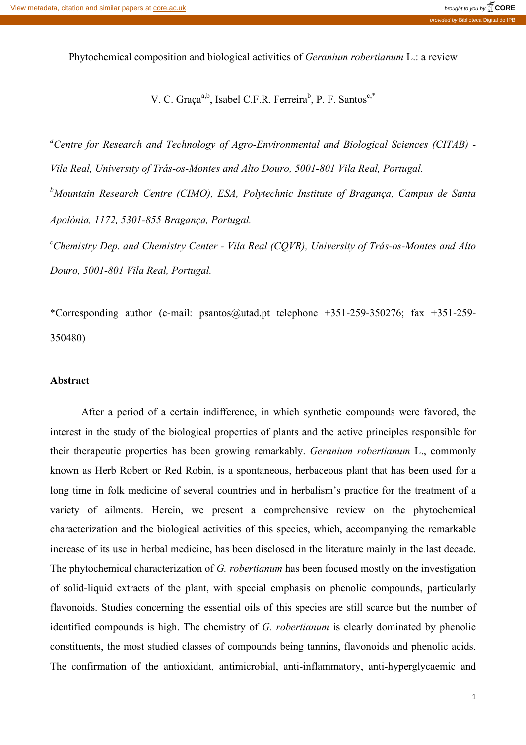Phytochemical composition and biological activities of *Geranium robertianum* L.: a review

V. C. Graça<sup>a,b</sup>, Isabel C.F.R. Ferreira<sup>b</sup>, P. F. Santos<sup>c,\*</sup>

*a Centre for Research and Technology of Agro-Environmental and Biological Sciences (CITAB) - Vila Real, University of Trás-os-Montes and Alto Douro, 5001-801 Vila Real, Portugal. b Mountain Research Centre (CIMO), ESA, Polytechnic Institute of Bragança, Campus de Santa Apolónia, 1172, 5301-855 Bragança, Portugal. c Chemistry Dep. and Chemistry Center - Vila Real (CQVR), University of Trás-os-Montes and Alto Douro, 5001-801 Vila Real, Portugal.*

\*Corresponding author (e-mail: psantos@utad.pt telephone +351-259-350276; fax +351-259- 350480)

#### **Abstract**

After a period of a certain indifference, in which synthetic compounds were favored, the interest in the study of the biological properties of plants and the active principles responsible for their therapeutic properties has been growing remarkably. *Geranium robertianum* L., commonly known as Herb Robert or Red Robin, is a spontaneous, herbaceous plant that has been used for a long time in folk medicine of several countries and in herbalism's practice for the treatment of a variety of ailments. Herein, we present a comprehensive review on the phytochemical characterization and the biological activities of this species, which, accompanying the remarkable increase of its use in herbal medicine, has been disclosed in the literature mainly in the last decade. The phytochemical characterization of *G. robertianum* has been focused mostly on the investigation of solid-liquid extracts of the plant, with special emphasis on phenolic compounds, particularly flavonoids. Studies concerning the essential oils of this species are still scarce but the number of identified compounds is high. The chemistry of *G. robertianum* is clearly dominated by phenolic constituents, the most studied classes of compounds being tannins, flavonoids and phenolic acids. The confirmation of the antioxidant, antimicrobial, anti-inflammatory, anti-hyperglycaemic and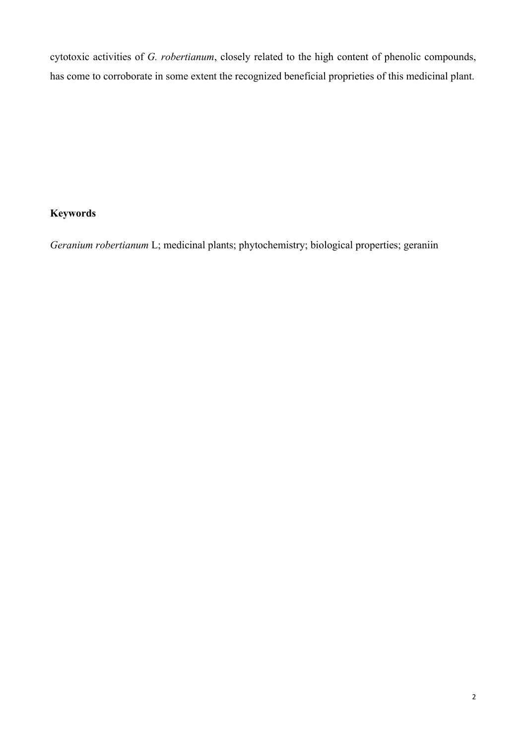cytotoxic activities of *G. robertianum*, closely related to the high content of phenolic compounds, has come to corroborate in some extent the recognized beneficial proprieties of this medicinal plant.

# **Keywords**

*Geranium robertianum* L; medicinal plants; phytochemistry; biological properties; geraniin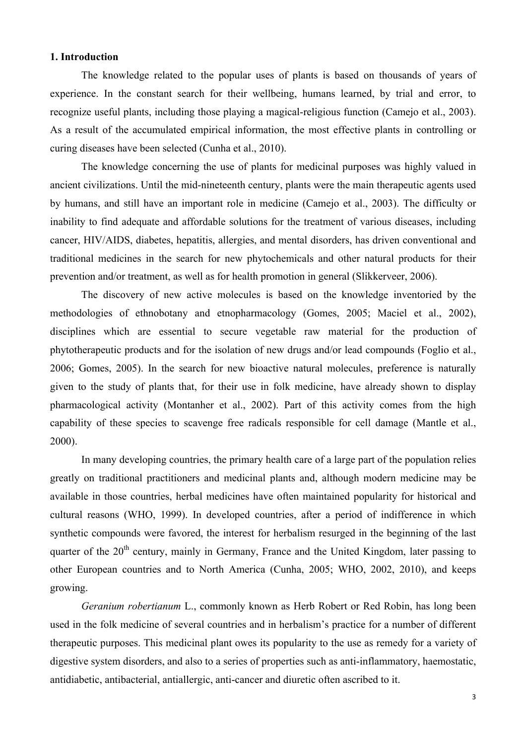## **1. Introduction**

The knowledge related to the popular uses of plants is based on thousands of years of experience. In the constant search for their wellbeing, humans learned, by trial and error, to recognize useful plants, including those playing a magical-religious function (Camejo et al., 2003). As a result of the accumulated empirical information, the most effective plants in controlling or curing diseases have been selected (Cunha et al., 2010).

The knowledge concerning the use of plants for medicinal purposes was highly valued in ancient civilizations. Until the mid-nineteenth century, plants were the main therapeutic agents used by humans, and still have an important role in medicine (Camejo et al., 2003). The difficulty or inability to find adequate and affordable solutions for the treatment of various diseases, including cancer, HIV/AIDS, diabetes, hepatitis, allergies, and mental disorders, has driven conventional and traditional medicines in the search for new phytochemicals and other natural products for their prevention and/or treatment, as well as for health promotion in general (Slikkerveer, 2006).

The discovery of new active molecules is based on the knowledge inventoried by the methodologies of ethnobotany and etnopharmacology (Gomes, 2005; Maciel et al., 2002), disciplines which are essential to secure vegetable raw material for the production of phytotherapeutic products and for the isolation of new drugs and/or lead compounds (Foglio et al., 2006; Gomes, 2005). In the search for new bioactive natural molecules, preference is naturally given to the study of plants that, for their use in folk medicine, have already shown to display pharmacological activity (Montanher et al., 2002). Part of this activity comes from the high capability of these species to scavenge free radicals responsible for cell damage (Mantle et al., 2000).

In many developing countries, the primary health care of a large part of the population relies greatly on traditional practitioners and medicinal plants and, although modern medicine may be available in those countries, herbal medicines have often maintained popularity for historical and cultural reasons (WHO, 1999). In developed countries, after a period of indifference in which synthetic compounds were favored, the interest for herbalism resurged in the beginning of the last quarter of the  $20<sup>th</sup>$  century, mainly in Germany, France and the United Kingdom, later passing to other European countries and to North America (Cunha, 2005; WHO, 2002, 2010), and keeps growing.

*Geranium robertianum* L., commonly known as Herb Robert or Red Robin, has long been used in the folk medicine of several countries and in herbalism's practice for a number of different therapeutic purposes. This medicinal plant owes its popularity to the use as remedy for a variety of digestive system disorders, and also to a series of properties such as anti-inflammatory, haemostatic, antidiabetic, antibacterial, antiallergic, anti-cancer and diuretic often ascribed to it.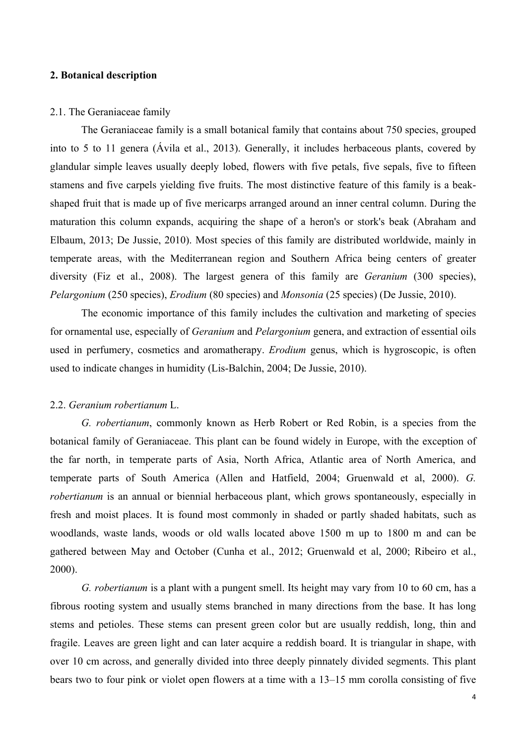## **2. Botanical description**

#### 2.1. The Geraniaceae family

The Geraniaceae family is a small botanical family that contains about 750 species, grouped into to 5 to 11 genera (Ávila et al., 2013). Generally, it includes herbaceous plants, covered by glandular simple leaves usually deeply lobed, flowers with five petals, five sepals, five to fifteen stamens and five carpels yielding five fruits. The most distinctive feature of this family is a beakshaped fruit that is made up of five mericarps arranged around an inner central column. During the maturation this column expands, acquiring the shape of a heron's or stork's beak (Abraham and Elbaum, 2013; De Jussie, 2010). Most species of this family are distributed worldwide, mainly in temperate areas, with the Mediterranean region and Southern Africa being centers of greater diversity (Fiz et al., 2008). The largest genera of this family are *Geranium* (300 species), *Pelargonium* (250 species), *Erodium* (80 species) and *Monsonia* (25 species) (De Jussie, 2010).

The economic importance of this family includes the cultivation and marketing of species for ornamental use, especially of *Geranium* and *Pelargonium* genera, and extraction of essential oils used in perfumery, cosmetics and aromatherapy. *Erodium* genus, which is hygroscopic, is often used to indicate changes in humidity (Lis-Balchin, 2004; De Jussie, 2010).

### 2.2. *Geranium robertianum* L.

*G. robertianum*, commonly known as Herb Robert or Red Robin, is a species from the botanical family of Geraniaceae. This plant can be found widely in Europe, with the exception of the far north, in temperate parts of Asia, North Africa, Atlantic area of North America, and temperate parts of South America (Allen and Hatfield, 2004; Gruenwald et al, 2000). *G. robertianum* is an annual or biennial herbaceous plant, which grows spontaneously, especially in fresh and moist places. It is found most commonly in shaded or partly shaded habitats, such as woodlands, waste lands, woods or old walls located above 1500 m up to 1800 m and can be gathered between May and October (Cunha et al., 2012; Gruenwald et al, 2000; Ribeiro et al., 2000).

*G. robertianum* is a plant with a pungent smell. Its height may vary from 10 to 60 cm, has a fibrous rooting system and usually stems branched in many directions from the base. It has long stems and petioles. These stems can present green color but are usually reddish, long, thin and fragile. Leaves are green light and can later acquire a reddish board. It is triangular in shape, with over 10 cm across, and generally divided into three deeply pinnately divided segments. This plant bears two to four pink or violet open flowers at a time with a 13–15 mm corolla consisting of five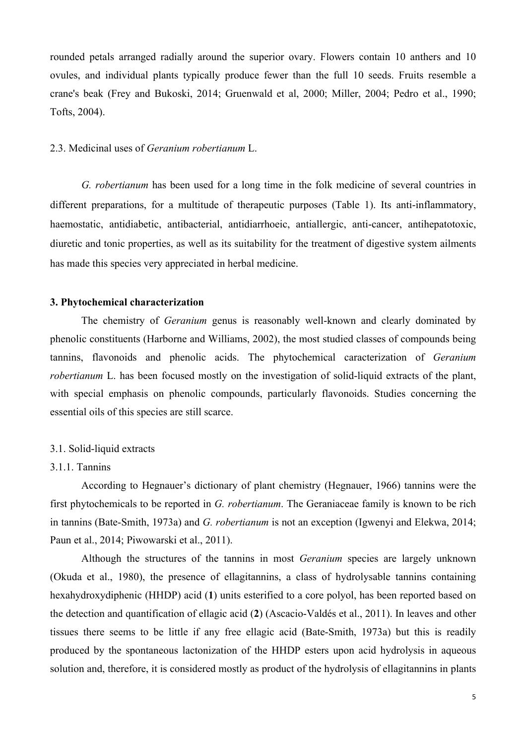rounded petals arranged radially around the superior ovary. Flowers contain 10 anthers and 10 ovules, and individual plants typically produce fewer than the full 10 seeds. Fruits resemble a crane's beak (Frey and Bukoski, 2014; Gruenwald et al, 2000; Miller, 2004; Pedro et al., 1990; Tofts, 2004).

### 2.3. Medicinal uses of *Geranium robertianum* L.

*G. robertianum* has been used for a long time in the folk medicine of several countries in different preparations, for a multitude of therapeutic purposes (Table 1). Its anti-inflammatory, haemostatic, antidiabetic, antibacterial, antidiarrhoeic, antiallergic, anti-cancer, antihepatotoxic, diuretic and tonic properties, as well as its suitability for the treatment of digestive system ailments has made this species very appreciated in herbal medicine.

#### **3. Phytochemical characterization**

The chemistry of *Geranium* genus is reasonably well-known and clearly dominated by phenolic constituents (Harborne and Williams, 2002), the most studied classes of compounds being tannins, flavonoids and phenolic acids. The phytochemical caracterization of *Geranium robertianum* L, has been focused mostly on the investigation of solid-liquid extracts of the plant, with special emphasis on phenolic compounds, particularly flavonoids. Studies concerning the essential oils of this species are still scarce.

#### 3.1. Solid-liquid extracts

#### 3.1.1. Tannins

According to Hegnauer's dictionary of plant chemistry (Hegnauer, 1966) tannins were the first phytochemicals to be reported in *G. robertianum*. The Geraniaceae family is known to be rich in tannins (Bate-Smith, 1973a) and *G. robertianum* is not an exception (Igwenyi and Elekwa, 2014; Paun et al., 2014; Piwowarski et al., 2011).

Although the structures of the tannins in most *Geranium* species are largely unknown (Okuda et al., 1980), the presence of ellagitannins, a class of hydrolysable tannins containing hexahydroxydiphenic (HHDP) acid (**1**) units esterified to a core polyol, has been reported based on the detection and quantification of ellagic acid (**2**) (Ascacio-Valdés et al., 2011). In leaves and other tissues there seems to be little if any free ellagic acid (Bate-Smith, 1973a) but this is readily produced by the spontaneous lactonization of the HHDP esters upon acid hydrolysis in aqueous solution and, therefore, it is considered mostly as product of the hydrolysis of ellagitannins in plants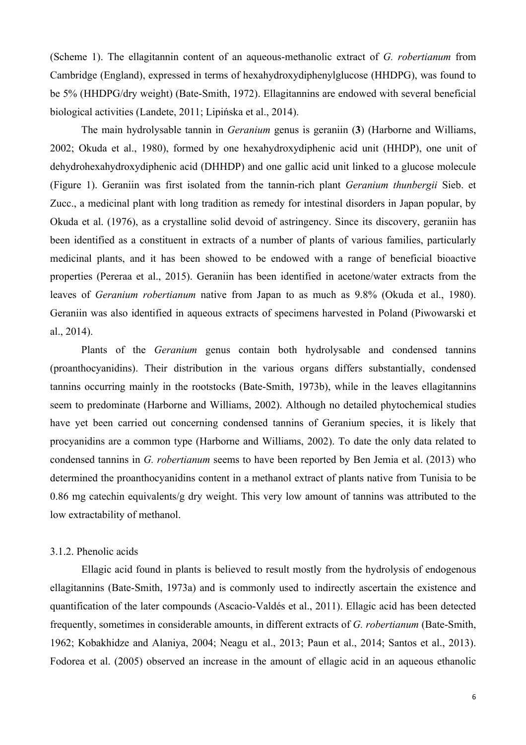(Scheme 1). The ellagitannin content of an aqueous-methanolic extract of *G. robertianum* from Cambridge (England), expressed in terms of hexahydroxydiphenylglucose (HHDPG), was found to be 5% (HHDPG/dry weight) (Bate-Smith, 1972). Ellagitannins are endowed with several beneficial biological activities (Landete, 2011; Lipińska et al., 2014).

The main hydrolysable tannin in *Geranium* genus is geraniin (**3**) (Harborne and Williams, 2002; Okuda et al., 1980), formed by one hexahydroxydiphenic acid unit (HHDP), one unit of dehydrohexahydroxydiphenic acid (DHHDP) and one gallic acid unit linked to a glucose molecule (Figure 1). Geraniin was first isolated from the tannin-rich plant *Geranium thunbergii* Sieb. et Zucc., a medicinal plant with long tradition as remedy for intestinal disorders in Japan popular, by Okuda et al. (1976), as a crystalline solid devoid of astringency. Since its discovery, geraniin has been identified as a constituent in extracts of a number of plants of various families, particularly medicinal plants, and it has been showed to be endowed with a range of beneficial bioactive properties (Pereraa et al., 2015). Geraniin has been identified in acetone/water extracts from the leaves of *Geranium robertianum* native from Japan to as much as 9.8% (Okuda et al., 1980). Geraniin was also identified in aqueous extracts of specimens harvested in Poland (Piwowarski et al., 2014).

Plants of the *Geranium* genus contain both hydrolysable and condensed tannins (proanthocyanidins). Their distribution in the various organs differs substantially, condensed tannins occurring mainly in the rootstocks (Bate-Smith, 1973b), while in the leaves ellagitannins seem to predominate (Harborne and Williams, 2002). Although no detailed phytochemical studies have yet been carried out concerning condensed tannins of Geranium species, it is likely that procyanidins are a common type (Harborne and Williams, 2002). To date the only data related to condensed tannins in *G. robertianum* seems to have been reported by Ben Jemia et al. (2013) who determined the proanthocyanidins content in a methanol extract of plants native from Tunisia to be 0.86 mg catechin equivalents/g dry weight. This very low amount of tannins was attributed to the low extractability of methanol.

## 3.1.2. Phenolic acids

Ellagic acid found in plants is believed to result mostly from the hydrolysis of endogenous ellagitannins (Bate-Smith, 1973a) and is commonly used to indirectly ascertain the existence and quantification of the later compounds (Ascacio-Valdés et al., 2011). Ellagic acid has been detected frequently, sometimes in considerable amounts, in different extracts of *G. robertianum* (Bate-Smith, 1962; Kobakhidze and Alaniya, 2004; Neagu et al., 2013; Paun et al., 2014; Santos et al., 2013). Fodorea et al. (2005) observed an increase in the amount of ellagic acid in an aqueous ethanolic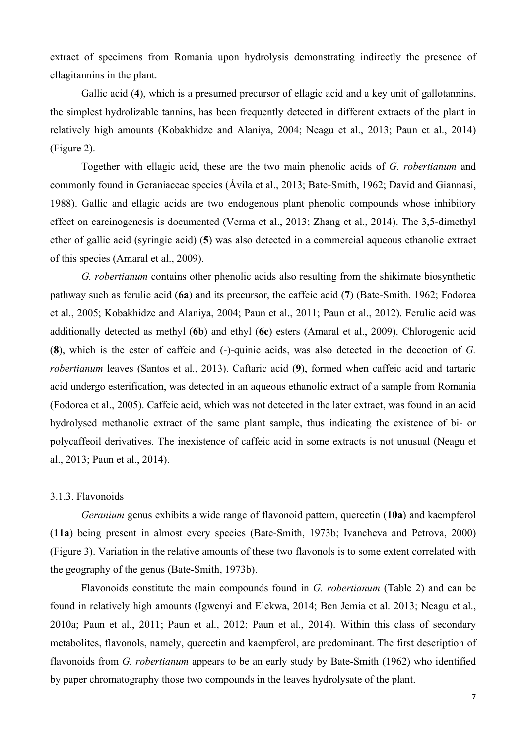extract of specimens from Romania upon hydrolysis demonstrating indirectly the presence of ellagitannins in the plant.

Gallic acid (**4**), which is a presumed precursor of ellagic acid and a key unit of gallotannins, the simplest hydrolizable tannins, has been frequently detected in different extracts of the plant in relatively high amounts (Kobakhidze and Alaniya, 2004; Neagu et al., 2013; Paun et al., 2014) (Figure 2).

Together with ellagic acid, these are the two main phenolic acids of *G. robertianum* and commonly found in Geraniaceae species (Ávila et al., 2013; Bate-Smith, 1962; David and Giannasi, 1988). Gallic and ellagic acids are two endogenous plant phenolic compounds whose inhibitory effect on carcinogenesis is documented (Verma et al., 2013; Zhang et al., 2014). The 3,5-dimethyl ether of gallic acid (syringic acid) (**5**) was also detected in a commercial aqueous ethanolic extract of this species (Amaral et al., 2009).

*G. robertianum* contains other phenolic acids also resulting from the shikimate biosynthetic pathway such as ferulic acid (**6a**) and its precursor, the caffeic acid (**7**) (Bate-Smith, 1962; Fodorea et al., 2005; Kobakhidze and Alaniya, 2004; Paun et al., 2011; Paun et al., 2012). Ferulic acid was additionally detected as methyl (**6b**) and ethyl (**6c**) esters (Amaral et al., 2009). Chlorogenic acid (**8**), which is the ester of caffeic and (-)-quinic acids, was also detected in the decoction of *G. robertianum* leaves (Santos et al., 2013). Caftaric acid (**9**), formed when caffeic acid and tartaric acid undergo esterification, was detected in an aqueous ethanolic extract of a sample from Romania (Fodorea et al., 2005). Caffeic acid, which was not detected in the later extract, was found in an acid hydrolysed methanolic extract of the same plant sample, thus indicating the existence of bi- or polycaffeoil derivatives. The inexistence of caffeic acid in some extracts is not unusual (Neagu et al., 2013; Paun et al., 2014).

#### 3.1.3. Flavonoids

*Geranium* genus exhibits a wide range of flavonoid pattern, quercetin (**10a**) and kaempferol (**11a**) being present in almost every species (Bate-Smith, 1973b; Ivancheva and Petrova, 2000) (Figure 3). Variation in the relative amounts of these two flavonols is to some extent correlated with the geography of the genus (Bate-Smith, 1973b).

Flavonoids constitute the main compounds found in *G. robertianum* (Table 2) and can be found in relatively high amounts (Igwenyi and Elekwa, 2014; Ben Jemia et al. 2013; Neagu et al., 2010a; Paun et al., 2011; Paun et al., 2012; Paun et al., 2014). Within this class of secondary metabolites, flavonols, namely, quercetin and kaempferol, are predominant. The first description of flavonoids from *G. robertianum* appears to be an early study by Bate-Smith (1962) who identified by paper chromatography those two compounds in the leaves hydrolysate of the plant.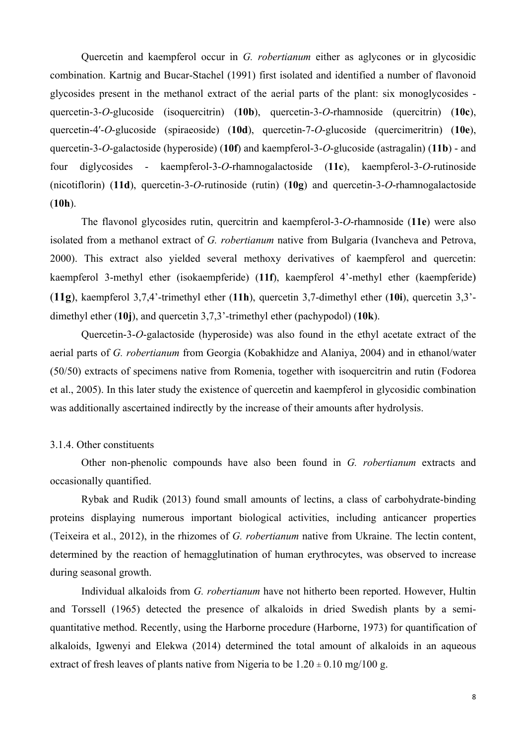Quercetin and kaempferol occur in *G. robertianum* either as aglycones or in glycosidic combination. Kartnig and Bucar-Stachel (1991) first isolated and identified a number of flavonoid glycosides present in the methanol extract of the aerial parts of the plant: six monoglycosides quercetin-3-*O*-glucoside (isoquercitrin) (**10b**), quercetin-3-*O*-rhamnoside (quercitrin) (**10c**), quercetin-4′-*O*-glucoside (spiraeoside) (**10d**), quercetin-7-*O*-glucoside (quercimeritrin) (**10e**), quercetin-3-*O*-galactoside (hyperoside) (**10f**) and kaempferol-3-*O*-glucoside (astragalin) (**11b**) - and four diglycosides - kaempferol-3-*O*-rhamnogalactoside (**11c**), kaempferol-3-*O*-rutinoside (nicotiflorin) (**11d**), quercetin-3-*O*-rutinoside (rutin) (**10g**) and quercetin-3-*O*-rhamnogalactoside (**10h**).

The flavonol glycosides rutin, quercitrin and kaempferol-3-*O*-rhamnoside (**11e**) were also isolated from a methanol extract of *G. robertianum* native from Bulgaria (Ivancheva and Petrova, 2000). This extract also yielded several methoxy derivatives of kaempferol and quercetin: kaempferol 3-methyl ether (isokaempferide) (**11f**), kaempferol 4'-methyl ether (kaempferide) (**11g**), kaempferol 3,7,4'-trimethyl ether (**11h**), quercetin 3,7-dimethyl ether (**10i**), quercetin 3,3' dimethyl ether (**10j**), and quercetin 3,7,3'-trimethyl ether (pachypodol) (**10k**).

Quercetin-3-*O*-galactoside (hyperoside) was also found in the ethyl acetate extract of the aerial parts of *G. robertianum* from Georgia (Kobakhidze and Alaniya, 2004) and in ethanol/water (50/50) extracts of specimens native from Romenia, together with isoquercitrin and rutin (Fodorea et al., 2005). In this later study the existence of quercetin and kaempferol in glycosidic combination was additionally ascertained indirectly by the increase of their amounts after hydrolysis.

#### 3.1.4. Other constituents

Other non-phenolic compounds have also been found in *G. robertianum* extracts and occasionally quantified.

Rybak and Rudik (2013) found small amounts of lectins, a class of carbohydrate-binding proteins displaying numerous important biological activities, including anticancer properties (Teixeira et al., 2012), in the rhizomes of *G. robertianum* native from Ukraine. The lectin content, determined by the reaction of hemagglutination of human erythrocytes, was observed to increase during seasonal growth.

Individual alkaloids from *G. robertianum* have not hitherto been reported. However, Hultin and Torssell (1965) detected the presence of alkaloids in dried Swedish plants by a semiquantitative method. Recently, using the Harborne procedure (Harborne, 1973) for quantification of alkaloids, Igwenyi and Elekwa (2014) determined the total amount of alkaloids in an aqueous extract of fresh leaves of plants native from Nigeria to be  $1.20 \pm 0.10$  mg/100 g.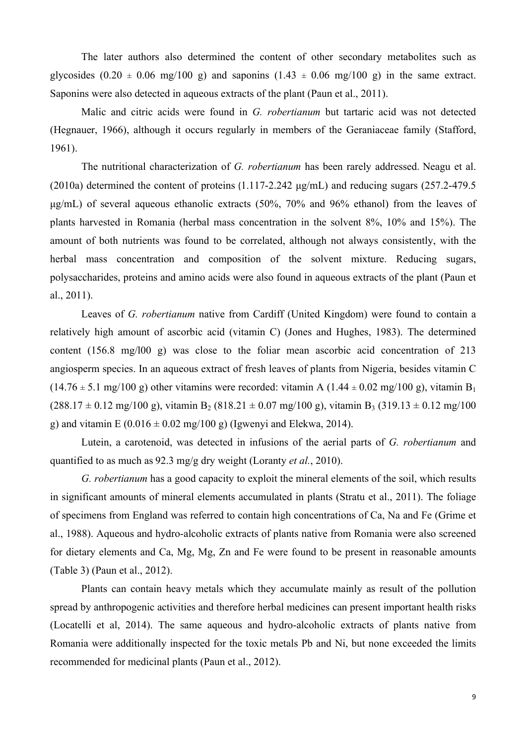The later authors also determined the content of other secondary metabolites such as glycosides (0.20  $\pm$  0.06 mg/100 g) and saponins (1.43  $\pm$  0.06 mg/100 g) in the same extract. Saponins were also detected in aqueous extracts of the plant (Paun et al., 2011).

Malic and citric acids were found in *G. robertianum* but tartaric acid was not detected (Hegnauer, 1966), although it occurs regularly in members of the Geraniaceae family (Stafford, 1961).

The nutritional characterization of *G. robertianum* has been rarely addressed. Neagu et al. (2010a) determined the content of proteins (1.117-2.242 µg/mL) and reducing sugars (257.2-479.5 µg/mL) of several aqueous ethanolic extracts (50%, 70% and 96% ethanol) from the leaves of plants harvested in Romania (herbal mass concentration in the solvent 8%, 10% and 15%). The amount of both nutrients was found to be correlated, although not always consistently, with the herbal mass concentration and composition of the solvent mixture. Reducing sugars, polysaccharides, proteins and amino acids were also found in aqueous extracts of the plant (Paun et al., 2011).

Leaves of *G. robertianum* native from Cardiff (United Kingdom) were found to contain a relatively high amount of ascorbic acid (vitamin C) (Jones and Hughes, 1983). The determined content (156.8 mg/l00 g) was close to the foliar mean ascorbic acid concentration of 213 angiosperm species. In an aqueous extract of fresh leaves of plants from Nigeria, besides vitamin C  $(14.76 \pm 5.1 \text{ mg}/100 \text{ g})$  other vitamins were recorded: vitamin A  $(1.44 \pm 0.02 \text{ mg}/100 \text{ g})$ , vitamin B<sub>1</sub>  $(288.17 \pm 0.12 \text{ mg}/100 \text{ g})$ , vitamin B<sub>2</sub>  $(818.21 \pm 0.07 \text{ mg}/100 \text{ g})$ , vitamin B<sub>3</sub>  $(319.13 \pm 0.12 \text{ mg}/100 \text{ g})$ g) and vitamin E (0.016  $\pm$  0.02 mg/100 g) (Igwenyi and Elekwa, 2014).

Lutein, a carotenoid, was detected in infusions of the aerial parts of *G. robertianum* and quantified to as much as 92.3 mg/g dry weight (Loranty *et al.*, 2010).

*G. robertianum* has a good capacity to exploit the mineral elements of the soil, which results in significant amounts of mineral elements accumulated in plants (Stratu et al., 2011). The foliage of specimens from England was referred to contain high concentrations of Ca, Na and Fe (Grime et al., 1988). Aqueous and hydro-alcoholic extracts of plants native from Romania were also screened for dietary elements and Ca, Mg, Mg, Zn and Fe were found to be present in reasonable amounts (Table 3) (Paun et al., 2012).

Plants can contain heavy metals which they accumulate mainly as result of the pollution spread by anthropogenic activities and therefore herbal medicines can present important health risks (Locatelli et al, 2014). The same aqueous and hydro-alcoholic extracts of plants native from Romania were additionally inspected for the toxic metals Pb and Ni, but none exceeded the limits recommended for medicinal plants (Paun et al., 2012).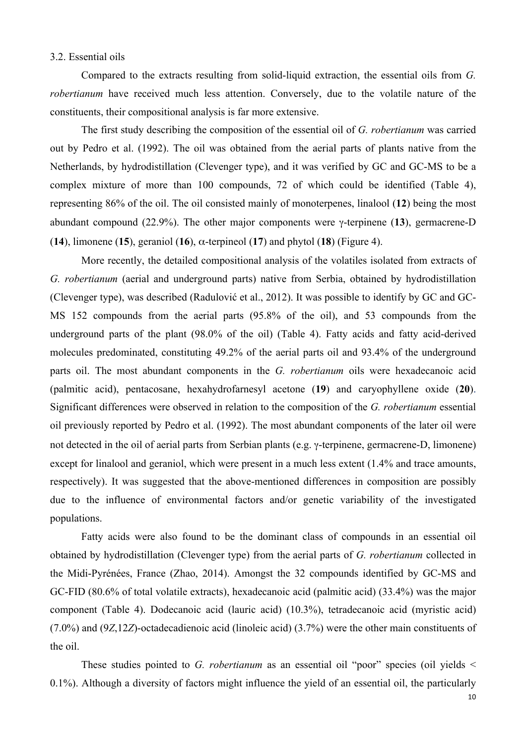#### 3.2. Essential oils

Compared to the extracts resulting from solid-liquid extraction, the essential oils from *G. robertianum* have received much less attention. Conversely, due to the volatile nature of the constituents, their compositional analysis is far more extensive.

The first study describing the composition of the essential oil of *G. robertianum* was carried out by Pedro et al. (1992). The oil was obtained from the aerial parts of plants native from the Netherlands, by hydrodistillation (Clevenger type), and it was verified by GC and GC-MS to be a complex mixture of more than 100 compounds, 72 of which could be identified (Table 4), representing 86% of the oil. The oil consisted mainly of monoterpenes, linalool (**12**) being the most abundant compound (22.9%). The other major components were γ-terpinene (**13**), germacrene-D (**14**), limonene (**15**), geraniol (**16**), α-terpineol (**17**) and phytol (**18**) (Figure 4).

More recently, the detailed compositional analysis of the volatiles isolated from extracts of *G. robertianum* (aerial and underground parts) native from Serbia, obtained by hydrodistillation (Clevenger type), was described (Radulović et al., 2012). It was possible to identify by GC and GC-MS 152 compounds from the aerial parts (95.8% of the oil), and 53 compounds from the underground parts of the plant (98.0% of the oil) (Table 4). Fatty acids and fatty acid-derived molecules predominated, constituting 49.2% of the aerial parts oil and 93.4% of the underground parts oil. The most abundant components in the *G. robertianum* oils were hexadecanoic acid (palmitic acid), pentacosane, hexahydrofarnesyl acetone (**19**) and caryophyllene oxide (**20**). Significant differences were observed in relation to the composition of the *G. robertianum* essential oil previously reported by Pedro et al. (1992). The most abundant components of the later oil were not detected in the oil of aerial parts from Serbian plants (e.g. γ-terpinene, germacrene-D, limonene) except for linalool and geraniol, which were present in a much less extent (1.4% and trace amounts, respectively). It was suggested that the above-mentioned differences in composition are possibly due to the influence of environmental factors and/or genetic variability of the investigated populations.

Fatty acids were also found to be the dominant class of compounds in an essential oil obtained by hydrodistillation (Clevenger type) from the aerial parts of *G. robertianum* collected in the Midi-Pyrénées, France (Zhao, 2014). Amongst the 32 compounds identified by GC-MS and GC-FID (80.6% of total volatile extracts), hexadecanoic acid (palmitic acid) (33.4%) was the major component (Table 4). Dodecanoic acid (lauric acid) (10.3%), tetradecanoic acid (myristic acid) (7.0%) and (9*Z*,12*Z*)-octadecadienoic acid (linoleic acid) (3.7%) were the other main constituents of the oil.

These studies pointed to *G. robertianum* as an essential oil "poor" species (oil yields  $\leq$ 0.1%). Although a diversity of factors might influence the yield of an essential oil, the particularly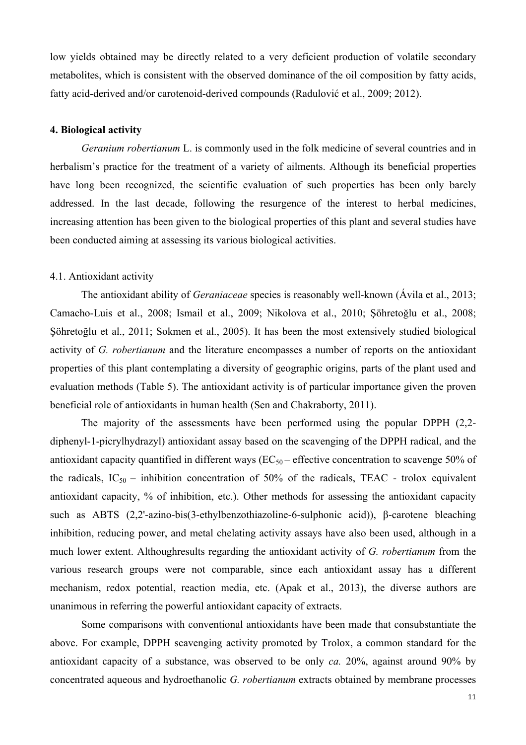low yields obtained may be directly related to a very deficient production of volatile secondary metabolites, which is consistent with the observed dominance of the oil composition by fatty acids, fatty acid-derived and/or carotenoid-derived compounds (Radulović et al., 2009; 2012).

#### **4. Biological activity**

*Geranium robertianum* L. is commonly used in the folk medicine of several countries and in herbalism's practice for the treatment of a variety of ailments. Although its beneficial properties have long been recognized, the scientific evaluation of such properties has been only barely addressed. In the last decade, following the resurgence of the interest to herbal medicines, increasing attention has been given to the biological properties of this plant and several studies have been conducted aiming at assessing its various biological activities.

#### 4.1. Antioxidant activity

The antioxidant ability of *Geraniaceae* species is reasonably well-known (Ávila et al., 2013; Camacho-Luis et al., 2008; Ismail et al., 2009; Nikolova et al., 2010; Şöhretoğlu et al., 2008; Şöhretoğlu et al., 2011; Sokmen et al., 2005). It has been the most extensively studied biological activity of *G. robertianum* and the literature encompasses a number of reports on the antioxidant properties of this plant contemplating a diversity of geographic origins, parts of the plant used and evaluation methods (Table 5). The antioxidant activity is of particular importance given the proven beneficial role of antioxidants in human health (Sen and Chakraborty, 2011).

The majority of the assessments have been performed using the popular DPPH (2,2 diphenyl-1-picrylhydrazyl) antioxidant assay based on the scavenging of the DPPH radical, and the antioxidant capacity quantified in different ways ( $EC_{50}$  – effective concentration to scavenge 50% of the radicals,  $IC_{50}$  – inhibition concentration of 50% of the radicals, TEAC - trolox equivalent antioxidant capacity, % of inhibition, etc.). Other methods for assessing the antioxidant capacity such as ABTS (2,2'-azino-bis(3-ethylbenzothiazoline-6-sulphonic acid)), β-carotene bleaching inhibition, reducing power, and metal chelating activity assays have also been used, although in a much lower extent. Althoughresults regarding the antioxidant activity of *G. robertianum* from the various research groups were not comparable, since each antioxidant assay has a different mechanism, redox potential, reaction media, etc. (Apak et al., 2013), the diverse authors are unanimous in referring the powerful antioxidant capacity of extracts.

Some comparisons with conventional antioxidants have been made that consubstantiate the above. For example, DPPH scavenging activity promoted by Trolox, a common standard for the antioxidant capacity of a substance, was observed to be only *ca.* 20%, against around 90% by concentrated aqueous and hydroethanolic *G. robertianum* extracts obtained by membrane processes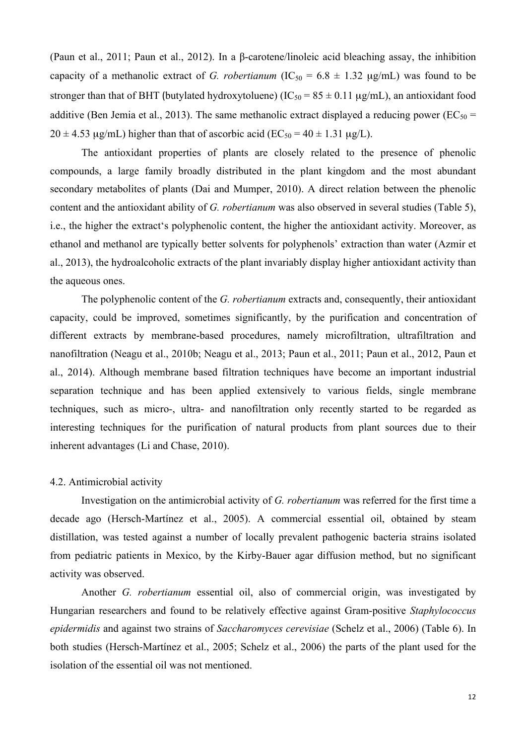(Paun et al., 2011; Paun et al., 2012). In a β-carotene/linoleic acid bleaching assay, the inhibition capacity of a methanolic extract of *G. robertianum* ( $IC_{50} = 6.8 \pm 1.32 \text{ µg/mL}$ ) was found to be stronger than that of BHT (butylated hydroxytoluene) ( $IC_{50} = 85 \pm 0.11 \mu g/mL$ ), an antioxidant food additive (Ben Jemia et al., 2013). The same methanolic extract displayed a reducing power ( $EC_{50}$  =  $20 \pm 4.53$  ug/mL) higher than that of ascorbic acid (EC<sub>50</sub> = 40  $\pm$  1.31 ug/L).

The antioxidant properties of plants are closely related to the presence of phenolic compounds, a large family broadly distributed in the plant kingdom and the most abundant secondary metabolites of plants (Dai and Mumper, 2010). A direct relation between the phenolic content and the antioxidant ability of *G. robertianum* was also observed in several studies (Table 5), i.e., the higher the extract's polyphenolic content, the higher the antioxidant activity. Moreover, as ethanol and methanol are typically better solvents for polyphenols' extraction than water (Azmir et al., 2013), the hydroalcoholic extracts of the plant invariably display higher antioxidant activity than the aqueous ones.

The polyphenolic content of the *G. robertianum* extracts and, consequently, their antioxidant capacity, could be improved, sometimes significantly, by the purification and concentration of different extracts by membrane-based procedures, namely microfiltration, ultrafiltration and nanofiltration (Neagu et al., 2010b; Neagu et al., 2013; Paun et al., 2011; Paun et al., 2012, Paun et al., 2014). Although membrane based filtration techniques have become an important industrial separation technique and has been applied extensively to various fields, single membrane techniques, such as micro-, ultra- and nanofiltration only recently started to be regarded as interesting techniques for the purification of natural products from plant sources due to their inherent advantages (Li and Chase, 2010).

## 4.2. Antimicrobial activity

Investigation on the antimicrobial activity of *G. robertianum* was referred for the first time a decade ago (Hersch-Martínez et al., 2005). A commercial essential oil, obtained by steam distillation, was tested against a number of locally prevalent pathogenic bacteria strains isolated from pediatric patients in Mexico, by the Kirby-Bauer agar diffusion method, but no significant activity was observed.

Another *G. robertianum* essential oil, also of commercial origin, was investigated by Hungarian researchers and found to be relatively effective against Gram-positive *Staphylococcus epidermidis* and against two strains of *Saccharomyces cerevisiae* (Schelz et al., 2006) (Table 6). In both studies (Hersch-Martínez et al., 2005; Schelz et al., 2006) the parts of the plant used for the isolation of the essential oil was not mentioned.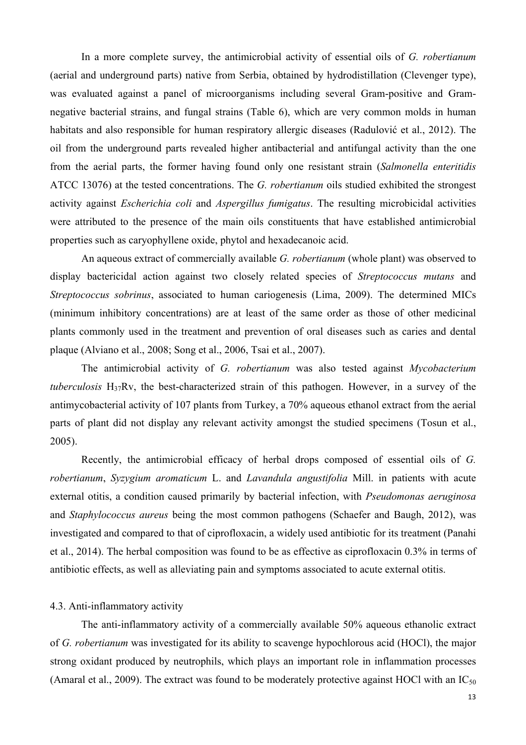In a more complete survey, the antimicrobial activity of essential oils of *G. robertianum* (aerial and underground parts) native from Serbia, obtained by hydrodistillation (Clevenger type), was evaluated against a panel of microorganisms including several Gram-positive and Gramnegative bacterial strains, and fungal strains (Table 6), which are very common molds in human habitats and also responsible for human respiratory allergic diseases (Radulović et al., 2012). The oil from the underground parts revealed higher antibacterial and antifungal activity than the one from the aerial parts, the former having found only one resistant strain (*Salmonella enteritidis*  ATCC 13076) at the tested concentrations. The *G. robertianum* oils studied exhibited the strongest activity against *Escherichia coli* and *Aspergillus fumigatus*. The resulting microbicidal activities were attributed to the presence of the main oils constituents that have established antimicrobial properties such as caryophyllene oxide, phytol and hexadecanoic acid.

An aqueous extract of commercially available *G. robertianum* (whole plant) was observed to display bactericidal action against two closely related species of *Streptococcus mutans* and *Streptococcus sobrinus*, associated to human cariogenesis (Lima, 2009). The determined MICs (minimum inhibitory concentrations) are at least of the same order as those of other medicinal plants commonly used in the treatment and prevention of oral diseases such as caries and dental plaque (Alviano et al., 2008; Song et al., 2006, Tsai et al., 2007).

The antimicrobial activity of *G. robertianum* was also tested against *Mycobacterium tuberculosis* H37Rv, the best-characterized strain of this pathogen. However, in a survey of the antimycobacterial activity of 107 plants from Turkey, a 70% aqueous ethanol extract from the aerial parts of plant did not display any relevant activity amongst the studied specimens (Tosun et al., 2005).

Recently, the antimicrobial efficacy of herbal drops composed of essential oils of *G. robertianum*, *Syzygium aromaticum* L. and *Lavandula angustifolia* Mill. in patients with acute external otitis, a condition caused primarily by bacterial infection, with *Pseudomonas aeruginosa* and *Staphylococcus aureus* being the most common pathogens (Schaefer and Baugh, 2012), was investigated and compared to that of ciprofloxacin, a widely used antibiotic for its treatment (Panahi et al., 2014). The herbal composition was found to be as effective as ciprofloxacin 0.3% in terms of antibiotic effects, as well as alleviating pain and symptoms associated to acute external otitis.

## 4.3. Anti-inflammatory activity

The anti-inflammatory activity of a commercially available 50% aqueous ethanolic extract of *G. robertianum* was investigated for its ability to scavenge hypochlorous acid (HOCl), the major strong oxidant produced by neutrophils, which plays an important role in inflammation processes (Amaral et al., 2009). The extract was found to be moderately protective against HOCl with an  $IC_{50}$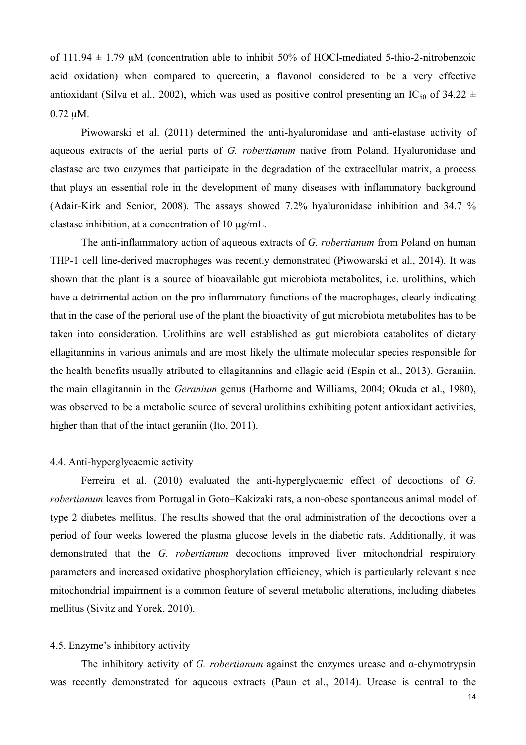of 111.94  $\pm$  1.79 µM (concentration able to inhibit 50% of HOCl-mediated 5-thio-2-nitrobenzoic acid oxidation) when compared to quercetin, a flavonol considered to be a very effective antioxidant (Silva et al., 2002), which was used as positive control presenting an IC<sub>50</sub> of 34.22  $\pm$ 0.72 µM.

Piwowarski et al. (2011) determined the anti-hyaluronidase and anti-elastase activity of aqueous extracts of the aerial parts of *G. robertianum* native from Poland. Hyaluronidase and elastase are two enzymes that participate in the degradation of the extracellular matrix, a process that plays an essential role in the development of many diseases with inflammatory background (Adair-Kirk and Senior, 2008). The assays showed 7.2% hyaluronidase inhibition and 34.7 % elastase inhibition, at a concentration of 10 µg/mL.

The anti-inflammatory action of aqueous extracts of *G. robertianum* from Poland on human THP-1 cell line-derived macrophages was recently demonstrated (Piwowarski et al., 2014). It was shown that the plant is a source of bioavailable gut microbiota metabolites, i.e. urolithins, which have a detrimental action on the pro-inflammatory functions of the macrophages, clearly indicating that in the case of the perioral use of the plant the bioactivity of gut microbiota metabolites has to be taken into consideration. Urolithins are well established as gut microbiota catabolites of dietary ellagitannins in various animals and are most likely the ultimate molecular species responsible for the health benefits usually atributed to ellagitannins and ellagic acid (Espín et al., 2013). Geraniin, the main ellagitannin in the *Geranium* genus (Harborne and Williams, 2004; Okuda et al., 1980), was observed to be a metabolic source of several urolithins exhibiting potent antioxidant activities, higher than that of the intact geraniin (Ito, 2011).

## 4.4. Anti-hyperglycaemic activity

Ferreira et al. (2010) evaluated the anti-hyperglycaemic effect of decoctions of *G. robertianum* leaves from Portugal in Goto–Kakizaki rats, a non-obese spontaneous animal model of type 2 diabetes mellitus. The results showed that the oral administration of the decoctions over a period of four weeks lowered the plasma glucose levels in the diabetic rats. Additionally, it was demonstrated that the *G. robertianum* decoctions improved liver mitochondrial respiratory parameters and increased oxidative phosphorylation efficiency, which is particularly relevant since mitochondrial impairment is a common feature of several metabolic alterations, including diabetes mellitus (Sivitz and Yorek, 2010).

#### 4.5. Enzyme's inhibitory activity

The inhibitory activity of *G. robertianum* against the enzymes urease and α-chymotrypsin was recently demonstrated for aqueous extracts (Paun et al., 2014). Urease is central to the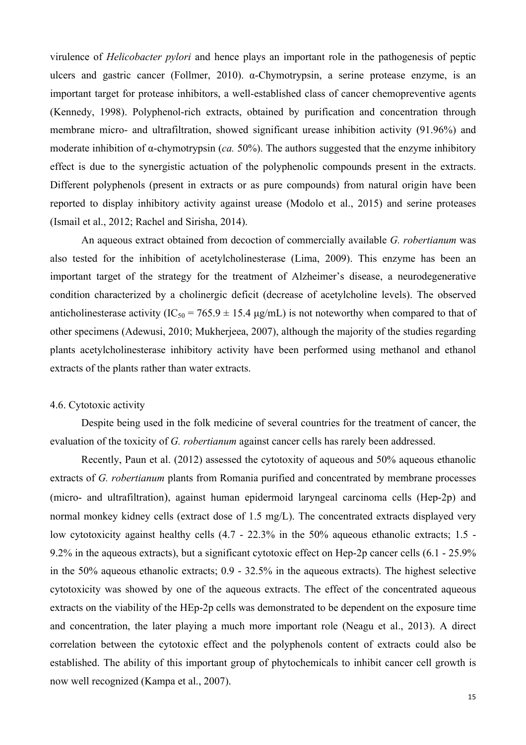virulence of *Helicobacter pylori* and hence plays an important role in the pathogenesis of peptic ulcers and gastric cancer (Follmer, 2010). α-Chymotrypsin, a serine protease enzyme, is an important target for protease inhibitors, a well-established class of cancer chemopreventive agents (Kennedy, 1998). Polyphenol-rich extracts, obtained by purification and concentration through membrane micro- and ultrafiltration, showed significant urease inhibition activity (91.96%) and moderate inhibition of α-chymotrypsin (*ca.* 50%). The authors suggested that the enzyme inhibitory effect is due to the synergistic actuation of the polyphenolic compounds present in the extracts. Different polyphenols (present in extracts or as pure compounds) from natural origin have been reported to display inhibitory activity against urease (Modolo et al., 2015) and serine proteases (Ismail et al., 2012; Rachel and Sirisha, 2014).

An aqueous extract obtained from decoction of commercially available *G. robertianum* was also tested for the inhibition of acetylcholinesterase (Lima, 2009). This enzyme has been an important target of the strategy for the treatment of Alzheimer's disease, a neurodegenerative condition characterized by a cholinergic deficit (decrease of acetylcholine levels). The observed anticholinesterase activity (IC<sub>50</sub> = 765.9  $\pm$  15.4 µg/mL) is not noteworthy when compared to that of other specimens (Adewusi, 2010; Mukherjeea, 2007), although the majority of the studies regarding plants acetylcholinesterase inhibitory activity have been performed using methanol and ethanol extracts of the plants rather than water extracts.

## 4.6. Cytotoxic activity

Despite being used in the folk medicine of several countries for the treatment of cancer, the evaluation of the toxicity of *G. robertianum* against cancer cells has rarely been addressed.

Recently, Paun et al. (2012) assessed the cytotoxity of aqueous and 50% aqueous ethanolic extracts of *G. robertianum* plants from Romania purified and concentrated by membrane processes (micro- and ultrafiltration), against human epidermoid laryngeal carcinoma cells (Hep-2p) and normal monkey kidney cells (extract dose of 1.5 mg/L). The concentrated extracts displayed very low cytotoxicity against healthy cells (4.7 - 22.3% in the 50% aqueous ethanolic extracts; 1.5 - 9.2% in the aqueous extracts), but a significant cytotoxic effect on Hep-2p cancer cells (6.1 - 25.9% in the 50% aqueous ethanolic extracts; 0.9 - 32.5% in the aqueous extracts). The highest selective cytotoxicity was showed by one of the aqueous extracts. The effect of the concentrated aqueous extracts on the viability of the HEp-2p cells was demonstrated to be dependent on the exposure time and concentration, the later playing a much more important role (Neagu et al., 2013). A direct correlation between the cytotoxic effect and the polyphenols content of extracts could also be established. The ability of this important group of phytochemicals to inhibit cancer cell growth is now well recognized (Kampa et al., 2007).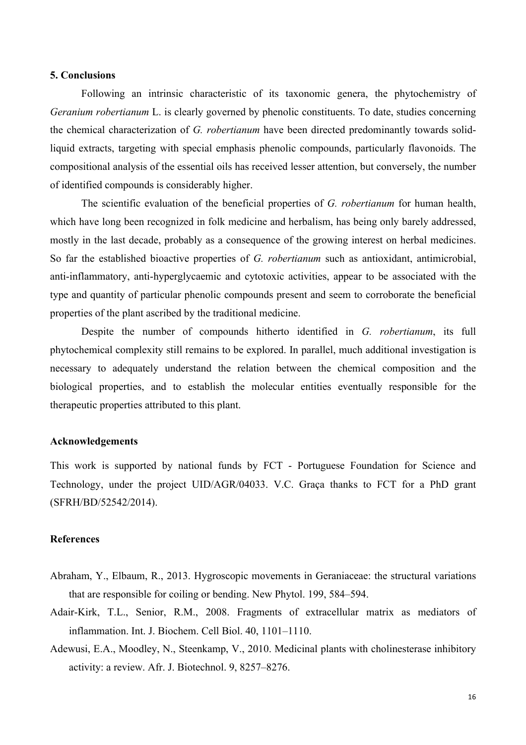#### **5. Conclusions**

Following an intrinsic characteristic of its taxonomic genera, the phytochemistry of *Geranium robertianum* L. is clearly governed by phenolic constituents. To date, studies concerning the chemical characterization of *G. robertianum* have been directed predominantly towards solidliquid extracts, targeting with special emphasis phenolic compounds, particularly flavonoids. The compositional analysis of the essential oils has received lesser attention, but conversely, the number of identified compounds is considerably higher.

The scientific evaluation of the beneficial properties of *G. robertianum* for human health, which have long been recognized in folk medicine and herbalism, has being only barely addressed, mostly in the last decade, probably as a consequence of the growing interest on herbal medicines. So far the established bioactive properties of *G. robertianum* such as antioxidant, antimicrobial, anti-inflammatory, anti-hyperglycaemic and cytotoxic activities, appear to be associated with the type and quantity of particular phenolic compounds present and seem to corroborate the beneficial properties of the plant ascribed by the traditional medicine.

Despite the number of compounds hitherto identified in *G. robertianum*, its full phytochemical complexity still remains to be explored. In parallel, much additional investigation is necessary to adequately understand the relation between the chemical composition and the biological properties, and to establish the molecular entities eventually responsible for the therapeutic properties attributed to this plant.

#### **Acknowledgements**

This work is supported by national funds by FCT - Portuguese Foundation for Science and Technology, under the project UID/AGR/04033. V.C. Graça thanks to FCT for a PhD grant (SFRH/BD/52542/2014).

#### **References**

- Abraham, Y., Elbaum, R., 2013. Hygroscopic movements in Geraniaceae: the structural variations that are responsible for coiling or bending. New Phytol. 199, 584–594.
- Adair-Kirk, T.L., Senior, R.M., 2008. Fragments of extracellular matrix as mediators of inflammation. Int. J. Biochem. Cell Biol. 40, 1101–1110.
- Adewusi, E.A., Moodley, N., Steenkamp, V., 2010. Medicinal plants with cholinesterase inhibitory activity: a review. Afr. J. Biotechnol. 9, 8257–8276.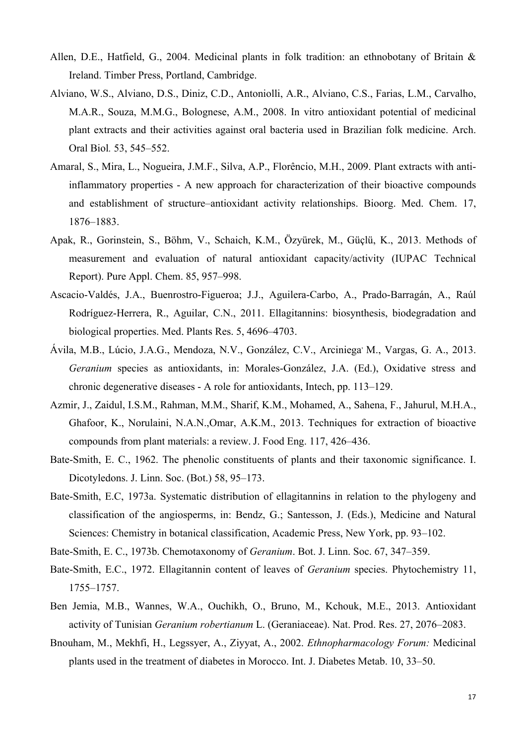- Allen, D.E., Hatfield, G., 2004. Medicinal plants in folk tradition: an ethnobotany of Britain & Ireland. Timber Press, Portland, Cambridge.
- Alviano, W.S., Alviano, D.S., Diniz, C.D., Antoniolli, A.R., Alviano, C.S., Farias, L.M., Carvalho, M.A.R., Souza, M.M.G., Bolognese, A.M., 2008. In vitro antioxidant potential of medicinal plant extracts and their activities against oral bacteria used in Brazilian folk medicine. Arch. Oral Biol*.* 53, 545–552.
- Amaral, S., Mira, L., Nogueira, J.M.F., Silva, A.P., Florêncio, M.H., 2009. Plant extracts with antiinflammatory properties - A new approach for characterization of their bioactive compounds and establishment of structure–antioxidant activity relationships. Bioorg. Med. Chem. 17, 1876–1883.
- Apak, R., Gorinstein, S., Böhm, V., Schaich, K.M., Özyürek, M., Güçlü, K., 2013. Methods of measurement and evaluation of natural antioxidant capacity/activity (IUPAC Technical Report). Pure Appl. Chem. 85, 957–998.
- Ascacio-Valdés, J.A., Buenrostro-Figueroa; J.J., Aguilera-Carbo, A., Prado-Barragán, A., Raúl Rodríguez-Herrera, R., Aguilar, C.N., 2011. Ellagitannins: biosynthesis, biodegradation and biological properties. Med. Plants Res. 5, 4696–4703.
- Ávila, M.B., Lúcio, J.A.G., Mendoza, N.V., González, C.V., Arciniega, M., Vargas, G. A., 2013. *Geranium* species as antioxidants, in: Morales-González, J.A. (Ed.), Oxidative stress and chronic degenerative diseases - A role for antioxidants, Intech, pp. 113–129.
- Azmir, J., Zaidul, I.S.M., Rahman, M.M., Sharif, K.M., Mohamed, A., Sahena, F., Jahurul, M.H.A., Ghafoor, K., Norulaini, N.A.N.,Omar, A.K.M., 2013. Techniques for extraction of bioactive compounds from plant materials: a review. J. Food Eng. 117, 426–436.
- Bate-Smith, E. C., 1962. The phenolic constituents of plants and their taxonomic significance. I. Dicotyledons. J. Linn. Soc. (Bot.) 58, 95–173.
- Bate-Smith, E.C, 1973a. Systematic distribution of ellagitannins in relation to the phylogeny and classification of the angiosperms, in: Bendz, G.; Santesson, J. (Eds.), Medicine and Natural Sciences: Chemistry in botanical classification, Academic Press, New York, pp. 93–102.
- Bate-Smith, E. C., 1973b. Chemotaxonomy of *Geranium*. Bot. J. Linn. Soc. 67, 347–359.
- Bate-Smith, E.C., 1972. Ellagitannin content of leaves of *Geranium* species. Phytochemistry 11, 1755–1757.
- Ben Jemia, M.B., Wannes, W.A., Ouchikh, O., Bruno, M., Kchouk, M.E., 2013. Antioxidant activity of Tunisian *Geranium robertianum* L. (Geraniaceae). Nat. Prod. Res. 27, 2076–2083.
- Bnouham, M., Mekhfi, H., Legssyer, A., Ziyyat, A., 2002. *Ethnopharmacology Forum:* Medicinal plants used in the treatment of diabetes in Morocco. Int. J. Diabetes Metab. 10, 33–50.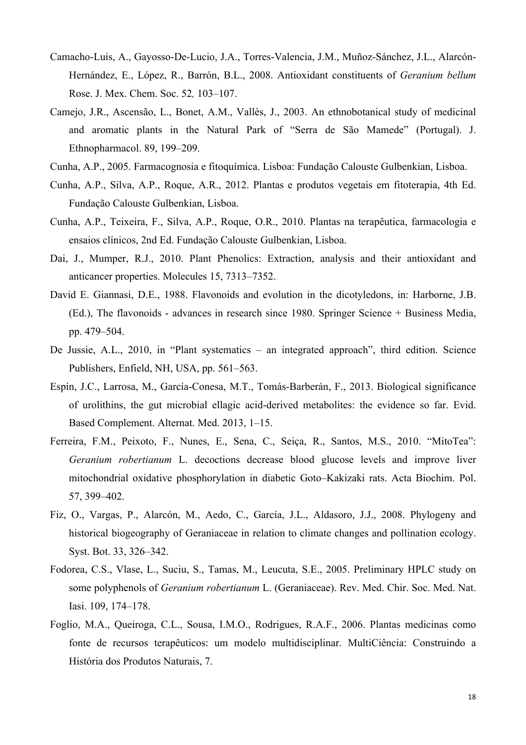- Camacho-Luis, A., Gayosso-De-Lucio, J.A., Torres-Valencia, J.M., Muñoz-Sánchez, J.L., Alarcón-Hernández, E., López, R., Barrón, B.L., 2008. Antioxidant constituents of *Geranium bellum* Rose. J. Mex. Chem. Soc. 52*,* 103–107.
- Camejo, J.R., Ascensão, L., Bonet, A.M., Vallès, J., 2003. An ethnobotanical study of medicinal and aromatic plants in the Natural Park of "Serra de São Mamede" (Portugal). J. Ethnopharmacol. 89, 199–209.
- Cunha, A.P., 2005. Farmacognosia e fitoquímica. Lisboa: Fundação Calouste Gulbenkian, Lisboa.
- Cunha, A.P., Silva, A.P., Roque, A.R., 2012. Plantas e produtos vegetais em fitoterapia, 4th Ed. Fundação Calouste Gulbenkian, Lisboa.
- Cunha, A.P., Teixeira, F., Silva, A.P., Roque, O.R., 2010. Plantas na terapêutica, farmacologia e ensaios clínicos, 2nd Ed. Fundação Calouste Gulbenkian, Lisboa.
- Dai, J., Mumper, R.J., 2010. Plant Phenolics: Extraction, analysis and their antioxidant and anticancer properties. Molecules 15, 7313–7352.
- David E. Giannasi, D.E., 1988. Flavonoids and evolution in the dicotyledons, in: Harborne, J.B. (Ed.), The flavonoids - advances in research since 1980. Springer Science + Business Media, pp. 479–504.
- De Jussie, A.L., 2010, in "Plant systematics an integrated approach", third edition. Science Publishers, Enfield, NH, USA, pp. 561–563.
- Espín, J.C., Larrosa, M., García-Conesa, M.T., Tomás-Barberán, F., 2013. Biological significance of urolithins, the gut microbial ellagic acid-derived metabolites: the evidence so far. Evid. Based Complement. Alternat. Med. 2013, 1–15.
- Ferreira, F.M., Peixoto, F., Nunes, E., Sena, C., Seiça, R., Santos, M.S., 2010. "MitoTea": *Geranium robertianum* L. decoctions decrease blood glucose levels and improve liver mitochondrial oxidative phosphorylation in diabetic Goto–Kakizaki rats. Acta Biochim. Pol. 57, 399–402.
- Fiz, O., Vargas, P., Alarcón, M., Aedo, C., García, J.L., Aldasoro, J.J., 2008. Phylogeny and historical biogeography of Geraniaceae in relation to climate changes and pollination ecology. Syst. Bot. 33, 326–342.
- Fodorea, C.S., Vlase, L., Suciu, S., Tamas, M., Leucuta, S.E., 2005. Preliminary HPLC study on some polyphenols of *Geranium robertianum* L. (Geraniaceae). Rev. Med. Chir. Soc. Med. Nat. Iasi. 109, 174–178.
- Foglio, M.A., Queiroga, C.L., Sousa, I.M.O., Rodrigues, R.A.F., 2006. Plantas medicinas como fonte de recursos terapêuticos: um modelo multidisciplinar. MultiCiência: Construindo a História dos Produtos Naturais, 7.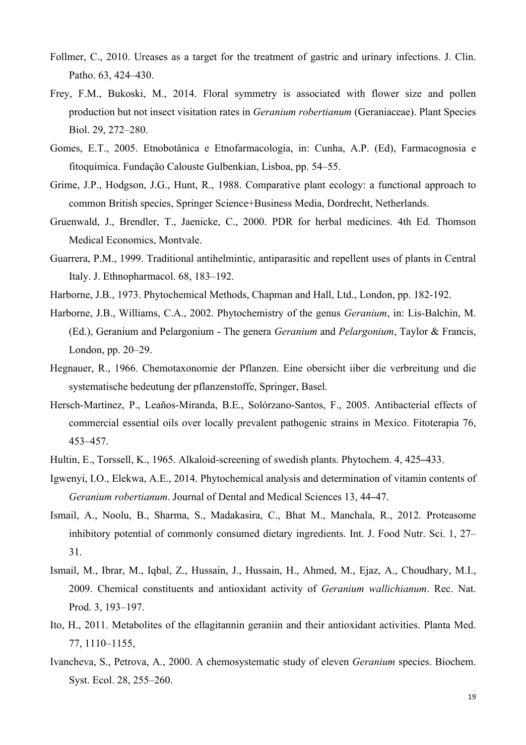- Follmer, C., 2010. Ureases as a target for the treatment of gastric and urinary infections. J. Clin. Patho. 63, 424–430.
- Frey, F.M., Bukoski, M., 2014. Floral symmetry is associated with flower size and pollen production but not insect visitation rates in *Geranium robertianum* (Geraniaceae). Plant Species Biol. 29, 272–280.
- Gomes, E.T., 2005. Etnobotânica e Etnofarmacologia, in: Cunha, A.P. (Ed), Farmacognosia e fitoquímica. Fundação Calouste Gulbenkian, Lisboa, pp. 54–55.
- Grime, J.P., Hodgson, J.G., Hunt, R., 1988. Comparative plant ecology: a functional approach to common British species, Springer Science+Business Media, Dordrecht, Netherlands.
- Gruenwald, J., Brendler, T., Jaenicke, C., 2000. PDR for herbal medicines. 4th Ed. Thomson Medical Economics, Montvale.
- Guarrera, P.M., 1999. Traditional antihelmintic, antiparasitic and repellent uses of plants in Central Italy. J. Ethnopharmacol. 68, 183–192.
- Harborne, J.B., 1973. Phytochemical Methods, Chapman and Hall, Ltd., London, pp. 182-192.
- Harborne, J.B., Williams, C.A., 2002. Phytochemistry of the genus *Geranium*, in: Lis-Balchin, M. (Ed.), Geranium and Pelargonium - The genera *Geranium* and *Pelargonium*, Taylor & Francis, London, pp. 20–29.
- Hegnauer, R., 1966. Chemotaxonomie der Pflanzen. Eine obersicht iiber die verbreitung und die systematische bedeutung der pflanzenstoffe, Springer, Basel.
- Hersch-Martínez, P., Leaños-Miranda, B.E., Solórzano-Santos, F., 2005. Antibacterial effects of commercial essential oils over locally prevalent pathogenic strains in Mexico. Fitoterapia 76, 453–457.
- Hultin, E., Torssell, K., 1965. Alkaloid-screening of swedish plants. Phytochem. 4, 425–433.
- Igwenyi, I.O., Elekwa, A.E., 2014. Phytochemical analysis and determination of vitamin contents of *Geranium robertianum*. Journal of Dental and Medical Sciences 13, 44–47.
- Ismail, A., Noolu, B., Sharma, S., Madakasira, C., Bhat M., Manchala, R., 2012. Proteasome inhibitory potential of commonly consumed dietary ingredients. Int. J. Food Nutr. Sci. 1, 27– 31.
- Ismail, M., Ibrar, M., Iqbal, Z., Hussain, J., Hussain, H., Ahmed, M., Ejaz, A., Choudhary, M.I., 2009. Chemical constituents and antioxidant activity of *Geranium wallichianum*. Rec. Nat. Prod. 3, 193–197.
- Ito, H., 2011. Metabolites of the ellagitannin geraniin and their antioxidant activities. Planta Med. 77, 1110–1155,
- Ivancheva, S., Petrova, A., 2000. A chemosystematic study of eleven *Geranium* species. Biochem. Syst. Ecol. 28, 255–260.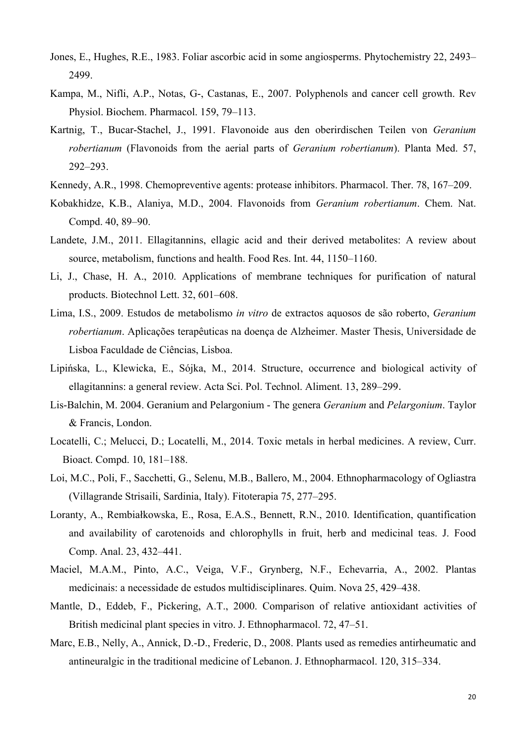- Jones, E., Hughes, R.E., 1983. Foliar ascorbic acid in some angiosperms. Phytochemistry 22, 2493– 2499.
- Kampa, M., Nifli, A.P., Notas, G-, Castanas, E., 2007. Polyphenols and cancer cell growth. Rev Physiol. Biochem. Pharmacol. 159, 79–113.
- Kartnig, T., Bucar-Stachel, J., 1991. Flavonoide aus den oberirdischen Teilen von *Geranium robertianum* (Flavonoids from the aerial parts of *Geranium robertianum*). Planta Med. 57, 292–293.
- Kennedy, A.R., 1998. Chemopreventive agents: protease inhibitors. Pharmacol. Ther. 78, 167–209.
- Kobakhidze, K.B., Alaniya, M.D., 2004. Flavonoids from *Geranium robertianum*. Chem. Nat. Compd. 40, 89–90.
- Landete, J.M., 2011. Ellagitannins, ellagic acid and their derived metabolites: A review about source, metabolism, functions and health. Food Res. Int. 44, 1150–1160.
- Li, J., Chase, H. A., 2010. Applications of membrane techniques for purification of natural products. Biotechnol Lett. 32, 601–608.
- Lima, I.S., 2009. Estudos de metabolismo *in vitro* de extractos aquosos de são roberto, *Geranium robertianum*. Aplicações terapêuticas na doença de Alzheimer. Master Thesis, Universidade de Lisboa Faculdade de Ciências, Lisboa.
- Lipińska, L., Klewicka, E., Sójka, M., 2014. Structure, occurrence and biological activity of ellagitannins: a general review. Acta Sci. Pol. Technol. Aliment. 13, 289–299.
- Lis-Balchin, M. 2004. Geranium and Pelargonium The genera *Geranium* and *Pelargonium*. Taylor & Francis, London.
- Locatelli, C.; Melucci, D.; Locatelli, M., 2014. Toxic metals in herbal medicines. A review, Curr. Bioact. Compd. 10, 181–188.
- Loi, M.C., Poli, F., Sacchetti, G., Selenu, M.B., Ballero, M., 2004. Ethnopharmacology of Ogliastra (Villagrande Strisaili, Sardinia, Italy). Fitoterapia 75, 277–295.
- Loranty, A., Rembiałkowska, E., Rosa, E.A.S., Bennett, R.N., 2010. Identification, quantification and availability of carotenoids and chlorophylls in fruit, herb and medicinal teas. J. Food Comp. Anal. 23, 432–441.
- Maciel, M.A.M., Pinto, A.C., Veiga, V.F., Grynberg, N.F., Echevarria, A., 2002. Plantas medicinais: a necessidade de estudos multidisciplinares. Quim. Nova 25, 429–438.
- Mantle, D., Eddeb, F., Pickering, A.T., 2000. Comparison of relative antioxidant activities of British medicinal plant species in vitro. J. Ethnopharmacol. 72, 47–51.
- Marc, E.B., Nelly, A., Annick, D.-D., Frederic, D., 2008. Plants used as remedies antirheumatic and antineuralgic in the traditional medicine of Lebanon. J. Ethnopharmacol. 120, 315–334.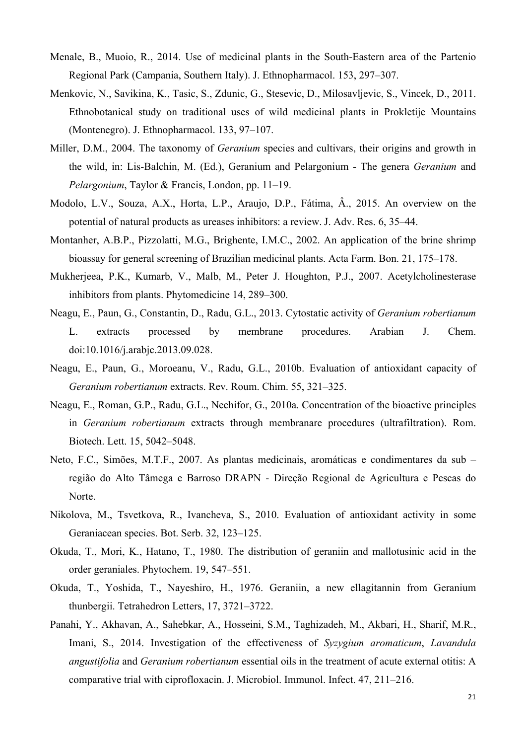- Menale, B., Muoio, R., 2014. Use of medicinal plants in the South-Eastern area of the Partenio Regional Park (Campania, Southern Italy). J. Ethnopharmacol. 153, 297–307.
- Menkovic, N., Savikina, K., Tasic, S., Zdunic, G., Stesevic, D., Milosavljevic, S., Vincek, D., 2011. Ethnobotanical study on traditional uses of wild medicinal plants in Prokletije Mountains (Montenegro). J. Ethnopharmacol. 133, 97–107.
- Miller, D.M., 2004. The taxonomy of *Geranium* species and cultivars, their origins and growth in the wild, in: Lis-Balchin, M. (Ed.), Geranium and Pelargonium - The genera *Geranium* and *Pelargonium*, Taylor & Francis, London, pp. 11–19.
- Modolo, L.V., Souza, A.X., Horta, L.P., Araujo, D.P., Fátima, Â., 2015. An overview on the potential of natural products as ureases inhibitors: a review. J. Adv. Res. 6, 35–44.
- Montanher, A.B.P., Pizzolatti, M.G., Brighente, I.M.C., 2002. An application of the brine shrimp bioassay for general screening of Brazilian medicinal plants. Acta Farm. Bon. 21, 175–178.
- Mukherjeea, P.K., Kumarb, V., Malb, M., Peter J. Houghton, P.J., 2007. Acetylcholinesterase inhibitors from plants. Phytomedicine 14, 289–300.
- Neagu, E., Paun, G., Constantin, D., Radu, G.L., 2013. Cytostatic activity of *Geranium robertianum* L. extracts processed by membrane procedures. Arabian J. Chem. doi:10.1016/j.arabjc.2013.09.028.
- Neagu, E., Paun, G., Moroeanu, V., Radu, G.L., 2010b. Evaluation of antioxidant capacity of *Geranium robertianum* extracts. Rev. Roum. Chim. 55, 321–325.
- Neagu, E., Roman, G.P., Radu, G.L., Nechifor, G., 2010a. Concentration of the bioactive principles in *Geranium robertianum* extracts through membranare procedures (ultrafiltration). Rom. Biotech. Lett. 15, 5042–5048.
- Neto, F.C., Simões, M.T.F., 2007. As plantas medicinais, aromáticas e condimentares da sub região do Alto Tâmega e Barroso DRAPN - Direção Regional de Agricultura e Pescas do Norte.
- Nikolova, M., Tsvetkova, R., Ivancheva, S., 2010. Evaluation of antioxidant activity in some Geraniacean species. Bot. Serb. 32, 123–125.
- Okuda, T., Mori, K., Hatano, T., 1980. The distribution of geraniin and mallotusinic acid in the order geraniales. Phytochem. 19, 547–551.
- Okuda, T., Yoshida, T., Nayeshiro, H., 1976. Geraniin, a new ellagitannin from Geranium thunbergii. Tetrahedron Letters, 17, 3721–3722.
- Panahi, Y., Akhavan, A., Sahebkar, A., Hosseini, S.M., Taghizadeh, M., Akbari, H., Sharif, M.R., Imani, S., 2014. Investigation of the effectiveness of *Syzygium aromaticum*, *Lavandula angustifolia* and *Geranium robertianum* essential oils in the treatment of acute external otitis: A comparative trial with ciprofloxacin. J. Microbiol. Immunol. Infect. 47, 211–216.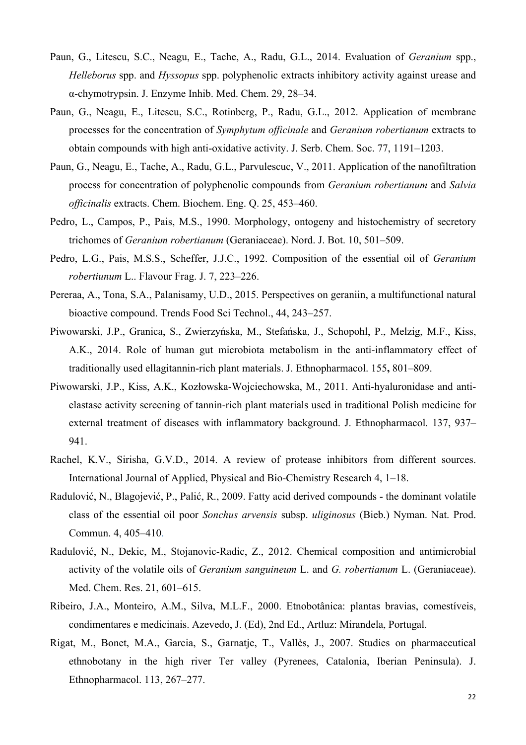- Paun, G., Litescu, S.C., Neagu, E., Tache, A., Radu, G.L., 2014. Evaluation of *Geranium* spp., *Helleborus* spp. and *Hyssopus* spp. polyphenolic extracts inhibitory activity against urease and α-chymotrypsin. J. Enzyme Inhib. Med. Chem. 29, 28–34.
- Paun, G., Neagu, E., Litescu, S.C., Rotinberg, P., Radu, G.L., 2012. Application of membrane processes for the concentration of *Symphytum officinale* and *Geranium robertianum* extracts to obtain compounds with high anti-oxidative activity. J. Serb. Chem. Soc. 77, 1191–1203.
- Paun, G., Neagu, E., Tache, A., Radu, G.L., Parvulescuc, V., 2011. Application of the nanofiltration process for concentration of polyphenolic compounds from *Geranium robertianum* and *Salvia officinalis* extracts. Chem. Biochem. Eng. Q. 25, 453–460.
- Pedro, L., Campos, P., Pais, M.S., 1990. Morphology, ontogeny and histochemistry of secretory trichomes of *Geranium robertianum* (Geraniaceae). Nord. J. Bot. 10, 501–509.
- Pedro, L.G., Pais, M.S.S., Scheffer, J.J.C., 1992. Composition of the essential oil of *Geranium robertiunum* L.. Flavour Frag. J. 7, 223–226.
- Pereraa, A., Tona, S.A., Palanisamy, U.D., 2015. Perspectives on geraniin, a multifunctional natural bioactive compound. Trends Food Sci Technol., 44, 243–257.
- Piwowarski, J.P., Granica, S., Zwierzyńska, M., Stefańska, J., Schopohl, P., Melzig, M.F., Kiss, A.K., 2014. Role of human gut microbiota metabolism in the anti-inflammatory effect of traditionally used ellagitannin-rich plant materials. J. Ethnopharmacol. 155**,** 801–809.
- Piwowarski, J.P., Kiss, A.K., Kozłowska-Wojciechowska, M., 2011. Anti-hyaluronidase and antielastase activity screening of tannin-rich plant materials used in traditional Polish medicine for external treatment of diseases with inflammatory background. J. Ethnopharmacol. 137, 937– 941.
- Rachel, K.V., Sirisha, G.V.D., 2014. A review of protease inhibitors from different sources. International Journal of Applied, Physical and Bio-Chemistry Research 4, 1–18.
- Radulović, N., Blagojević, P., Palić, R., 2009. Fatty acid derived compounds the dominant volatile class of the essential oil poor *Sonchus arvensis* subsp. *uliginosus* (Bieb.) Nyman. Nat. Prod. Commun. 4, 405–410.
- Radulović, N., Dekic, M., Stojanovic-Radic, Z., 2012. Chemical composition and antimicrobial activity of the volatile oils of *Geranium sanguineum* L. and *G. robertianum* L. (Geraniaceae). Med. Chem. Res. 21, 601–615.
- Ribeiro, J.A., Monteiro, A.M., Silva, M.L.F., 2000. Etnobotânica: plantas bravias, comestíveis, condimentares e medicinais. Azevedo, J. (Ed), 2nd Ed., Artluz: Mirandela, Portugal.
- Rigat, M., Bonet, M.A., Garcia, S., Garnatje, T., Vallès, J., 2007. Studies on pharmaceutical ethnobotany in the high river Ter valley (Pyrenees, Catalonia, Iberian Peninsula). J. Ethnopharmacol. 113, 267–277.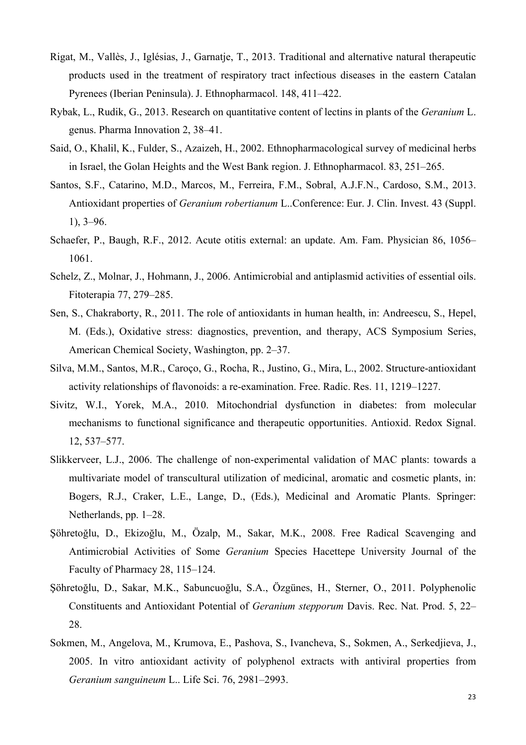- Rigat, M., Vallès, J., Iglésias, J., Garnatje, T., 2013. Traditional and alternative natural therapeutic products used in the treatment of respiratory tract infectious diseases in the eastern Catalan Pyrenees (Iberian Peninsula). J. Ethnopharmacol. 148, 411–422.
- Rybak, L., Rudik, G., 2013. Research on quantitative content of lectins in plants of the *Geranium* L. genus. Pharma Innovation 2, 38–41.
- Said, O., Khalil, K., Fulder, S., Azaizeh, H., 2002. Ethnopharmacological survey of medicinal herbs in Israel, the Golan Heights and the West Bank region. J. Ethnopharmacol. 83, 251–265.
- Santos, S.F., Catarino, M.D., Marcos, M., Ferreira, F.M., Sobral, A.J.F.N., Cardoso, S.M., 2013. Antioxidant properties of *Geranium robertianum* L..Conference: Eur. J. Clin. Invest. 43 (Suppl. 1), 3–96.
- Schaefer, P., Baugh, R.F., 2012. Acute otitis external: an update. Am. Fam. Physician 86, 1056– 1061.
- Schelz, Z., Molnar, J., Hohmann, J., 2006. Antimicrobial and antiplasmid activities of essential oils. Fitoterapia 77, 279–285.
- Sen, S., Chakraborty, R., 2011. The role of antioxidants in human health, in: Andreescu, S., Hepel, M. (Eds.), Oxidative stress: diagnostics, prevention, and therapy, ACS Symposium Series, American Chemical Society, Washington, pp. 2–37.
- Silva, M.M., Santos, M.R., Caroço, G., Rocha, R., Justino, G., Mira, L., 2002. Structure-antioxidant activity relationships of flavonoids: a re-examination. Free. Radic. Res. 11, 1219–1227.
- Sivitz, W.I., Yorek, M.A., 2010. Mitochondrial dysfunction in diabetes: from molecular mechanisms to functional significance and therapeutic opportunities. Antioxid. Redox Signal. 12, 537–577.
- Slikkerveer, L.J., 2006. The challenge of non-experimental validation of MAC plants: towards a multivariate model of transcultural utilization of medicinal, aromatic and cosmetic plants, in: Bogers, R.J., Craker, L.E., Lange, D., (Eds.), Medicinal and Aromatic Plants. Springer: Netherlands, pp. 1–28.
- Şöhretoğlu, D., Ekizoğlu, M., Özalp, M., Sakar, M.K., 2008. Free Radical Scavenging and Antimicrobial Activities of Some *Geranium* Species Hacettepe University Journal of the Faculty of Pharmacy 28, 115–124.
- Şöhretoğlu, D., Sakar, M.K., Sabuncuoğlu, S.A., Özgünes, H., Sterner, O., 2011. Polyphenolic Constituents and Antioxidant Potential of *Geranium stepporum* Davis. Rec. Nat. Prod. 5, 22– 28.
- Sokmen, M., Angelova, M., Krumova, E., Pashova, S., Ivancheva, S., Sokmen, A., Serkedjieva, J., 2005. In vitro antioxidant activity of polyphenol extracts with antiviral properties from *Geranium sanguineum* L.. Life Sci. 76, 2981–2993.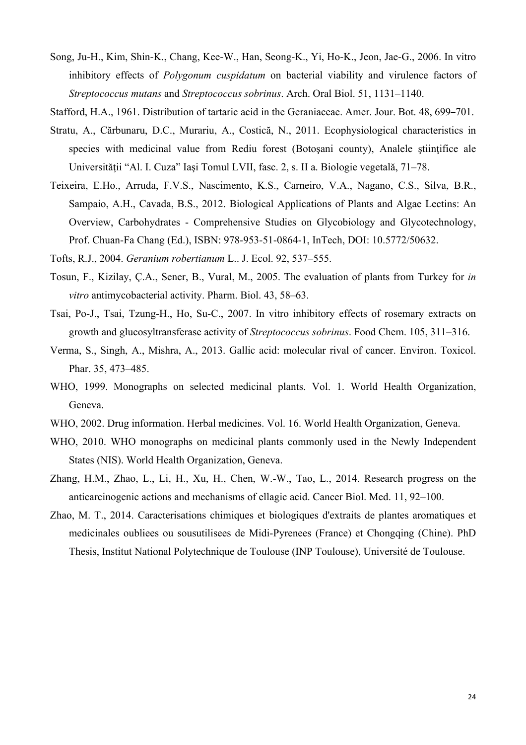Song, Ju-H., Kim, Shin-K., Chang, Kee-W., Han, Seong-K., Yi, Ho-K., Jeon, Jae-G., 2006. In vitro inhibitory effects of *Polygonum cuspidatum* on bacterial viability and virulence factors of *Streptococcus mutans* and *Streptococcus sobrinus*. Arch. Oral Biol. 51, 1131–1140.

Stafford, H.A., 1961. Distribution of tartaric acid in the Geraniaceae. Amer. Jour. Bot. 48, 699–701.

- Stratu, A., Cărbunaru, D.C., Murariu, A., Costică, N., 2011. Ecophysiological characteristics in species with medicinal value from Rediu forest (Botosani county), Analele stiintifice ale Universităţii "Al. I. Cuza" Iaşi Tomul LVII, fasc. 2, s. II a. Biologie vegetală, 71–78.
- Teixeira, E.Ho., Arruda, F.V.S., Nascimento, K.S., Carneiro, V.A., Nagano, C.S., Silva, B.R., Sampaio, A.H., Cavada, B.S., 2012. Biological Applications of Plants and Algae Lectins: An Overview, Carbohydrates - Comprehensive Studies on Glycobiology and Glycotechnology, Prof. Chuan-Fa Chang (Ed.), ISBN: 978-953-51-0864-1, InTech, DOI: 10.5772/50632.

Tofts, R.J., 2004. *Geranium robertianum* L.. J. Ecol. 92, 537–555.

- Tosun, F., Kizilay, Ç.A., Sener, B., Vural, M., 2005. The evaluation of plants from Turkey for *in vitro* antimycobacterial activity. Pharm. Biol. 43, 58–63.
- Tsai, Po-J., Tsai, Tzung-H., Ho, Su-C., 2007. In vitro inhibitory effects of rosemary extracts on growth and glucosyltransferase activity of *Streptococcus sobrinus*. Food Chem. 105, 311–316.
- Verma, S., Singh, A., Mishra, A., 2013. Gallic acid: molecular rival of cancer. Environ. Toxicol. Phar. 35, 473–485.
- WHO, 1999. Monographs on selected medicinal plants. Vol. 1. World Health Organization, Geneva.
- WHO, 2002. Drug information. Herbal medicines. Vol. 16. World Health Organization, Geneva.
- WHO, 2010. WHO monographs on medicinal plants commonly used in the Newly Independent States (NIS). World Health Organization, Geneva.
- Zhang, H.M., Zhao, L., Li, H., Xu, H., Chen, W.-W., Tao, L., 2014. Research progress on the anticarcinogenic actions and mechanisms of ellagic acid. Cancer Biol. Med. 11, 92–100.
- Zhao, M. T., 2014. Caracterisations chimiques et biologiques d'extraits de plantes aromatiques et medicinales oubliees ou sousutilisees de Midi-Pyrenees (France) et Chongqing (Chine). PhD Thesis, Institut National Polytechnique de Toulouse (INP Toulouse), Université de Toulouse.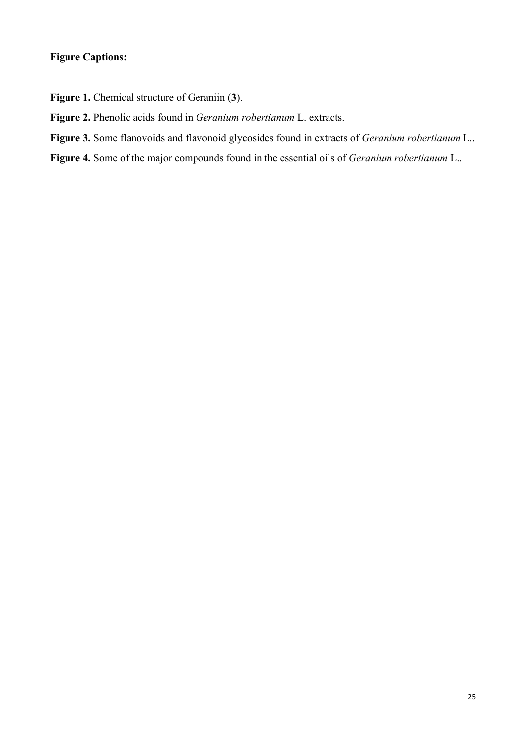## **Figure Captions:**

**Figure 1.** Chemical structure of Geraniin (**3**).

- **Figure 2.** Phenolic acids found in *Geranium robertianum* L. extracts.
- **Figure 3.** Some flanovoids and flavonoid glycosides found in extracts of *Geranium robertianum* L..
- **Figure 4.** Some of the major compounds found in the essential oils of *Geranium robertianum* L..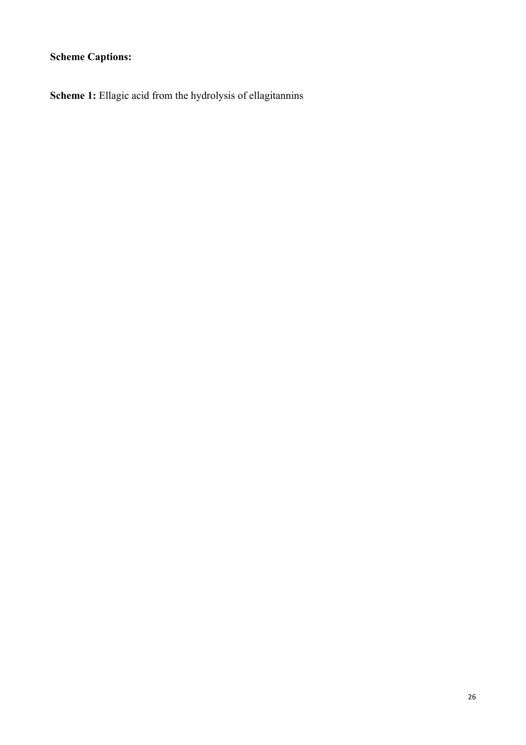# **Scheme Captions:**

**Scheme 1:** Ellagic acid from the hydrolysis of ellagitannins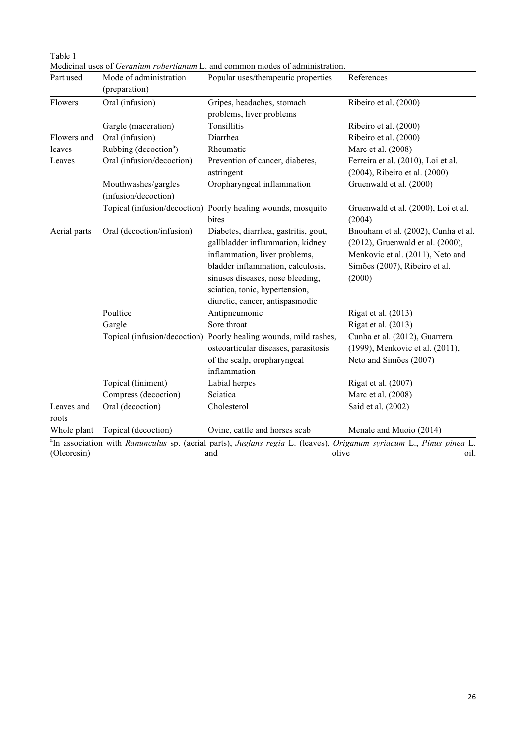| Part used           | Mode of administration<br>(preparation)     | Popular uses/therapeutic properties                                                                                                                                                                                                                     | References                                                                                                                                             |
|---------------------|---------------------------------------------|---------------------------------------------------------------------------------------------------------------------------------------------------------------------------------------------------------------------------------------------------------|--------------------------------------------------------------------------------------------------------------------------------------------------------|
| Flowers             | Oral (infusion)                             | Gripes, headaches, stomach<br>problems, liver problems                                                                                                                                                                                                  | Ribeiro et al. (2000)                                                                                                                                  |
|                     | Gargle (maceration)                         | Tonsillitis                                                                                                                                                                                                                                             | Ribeiro et al. (2000)                                                                                                                                  |
| Flowers and         | Oral (infusion)                             | Diarrhea                                                                                                                                                                                                                                                | Ribeiro et al. (2000)                                                                                                                                  |
| leaves              | Rubbing (decoction <sup>a</sup> )           | Rheumatic                                                                                                                                                                                                                                               | Marc et al. (2008)                                                                                                                                     |
| Leaves              | Oral (infusion/decoction)                   | Prevention of cancer, diabetes,<br>astringent                                                                                                                                                                                                           | Ferreira et al. (2010), Loi et al.<br>(2004), Ribeiro et al. (2000)                                                                                    |
|                     | Mouthwashes/gargles<br>(infusion/decoction) | Oropharyngeal inflammation                                                                                                                                                                                                                              | Gruenwald et al. (2000)                                                                                                                                |
|                     |                                             | Topical (infusion/decoction) Poorly healing wounds, mosquito<br>bites                                                                                                                                                                                   | Gruenwald et al. (2000), Loi et al.<br>(2004)                                                                                                          |
| Aerial parts        | Oral (decoction/infusion)                   | Diabetes, diarrhea, gastritis, gout,<br>gallbladder inflammation, kidney<br>inflammation, liver problems,<br>bladder inflammation, calculosis,<br>sinuses diseases, nose bleeding,<br>sciatica, tonic, hypertension,<br>diuretic, cancer, antispasmodic | Bnouham et al. (2002), Cunha et al.<br>(2012), Gruenwald et al. (2000),<br>Menkovic et al. (2011), Neto and<br>Simões (2007), Ribeiro et al.<br>(2000) |
|                     | Poultice                                    | Antipneumonic                                                                                                                                                                                                                                           | Rigat et al. (2013)                                                                                                                                    |
|                     | Gargle                                      | Sore throat                                                                                                                                                                                                                                             | Rigat et al. (2013)                                                                                                                                    |
|                     |                                             | Topical (infusion/decoction) Poorly healing wounds, mild rashes,<br>osteoarticular diseases, parasitosis<br>of the scalp, oropharyngeal<br>inflammation                                                                                                 | Cunha et al. (2012), Guarrera<br>(1999), Menkovic et al. (2011),<br>Neto and Simões (2007)                                                             |
|                     | Topical (liniment)                          | Labial herpes                                                                                                                                                                                                                                           | Rigat et al. (2007)                                                                                                                                    |
|                     | Compress (decoction)                        | Sciatica                                                                                                                                                                                                                                                | Marc et al. (2008)                                                                                                                                     |
| Leaves and<br>roots | Oral (decoction)                            | Cholesterol                                                                                                                                                                                                                                             | Said et al. (2002)                                                                                                                                     |
| Whole plant         | Topical (decoction)                         | Ovine, cattle and horses scab                                                                                                                                                                                                                           | Menale and Muoio (2014)                                                                                                                                |
| (Oleoresin)         |                                             | <sup>a</sup> In association with Ranunculus sp. (aerial parts), Juglans regia L. (leaves), Origanum syriacum L., Pinus pinea L.<br>olive<br>and                                                                                                         | oil.                                                                                                                                                   |

Table 1 Medicinal uses of *Geranium robertianum* L. and common modes of administration.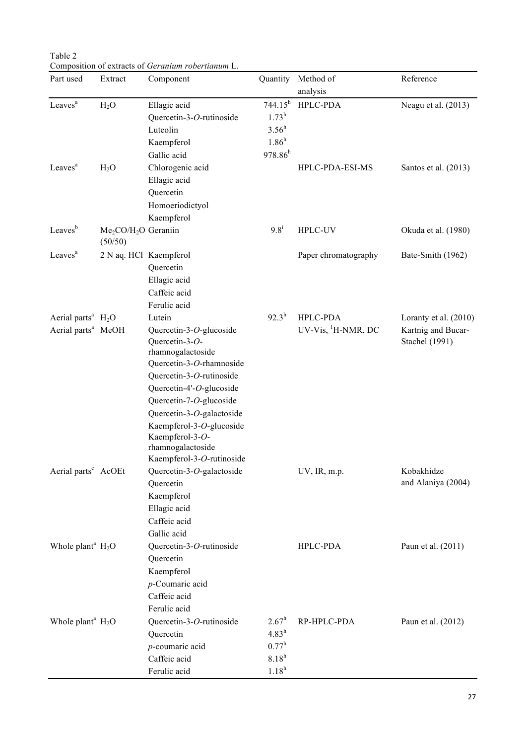Table 2 Composition of extracts of *Geranium robertianum* L.

| Part used                        | Extract                         | Component                                   | Quantity            | Method of                      | Reference             |
|----------------------------------|---------------------------------|---------------------------------------------|---------------------|--------------------------------|-----------------------|
|                                  |                                 |                                             |                     | analysis                       |                       |
| Leaves <sup>a</sup>              | H <sub>2</sub> O                | Ellagic acid                                | 744.15 <sup>h</sup> | HPLC-PDA                       | Neagu et al. (2013)   |
|                                  |                                 | Quercetin-3-O-rutinoside                    | $1.73^h$            |                                |                       |
|                                  |                                 | Luteolin                                    | $3.56^h$            |                                |                       |
|                                  |                                 | Kaempferol                                  | 1.86 <sup>h</sup>   |                                |                       |
|                                  |                                 | Gallic acid                                 | $978.86^{h}$        |                                |                       |
| Leaves <sup>a</sup>              | H <sub>2</sub> O                | Chlorogenic acid                            |                     | HPLC-PDA-ESI-MS                | Santos et al. (2013)  |
|                                  |                                 | Ellagic acid                                |                     |                                |                       |
|                                  |                                 | Quercetin                                   |                     |                                |                       |
|                                  |                                 | Homoeriodictyol                             |                     |                                |                       |
|                                  |                                 | Kaempferol                                  |                     |                                |                       |
| Leaves <sup>b</sup>              | $Me2CO/H2O$ Geraniin<br>(50/50) |                                             | $9.8^{i}$           | HPLC-UV                        | Okuda et al. (1980)   |
| Leaves <sup>a</sup>              | 2 N aq. HCl Kaempferol          |                                             |                     | Paper chromatography           | Bate-Smith (1962)     |
|                                  |                                 | Quercetin                                   |                     |                                |                       |
|                                  |                                 | Ellagic acid                                |                     |                                |                       |
|                                  |                                 | Caffeic acid                                |                     |                                |                       |
|                                  |                                 | Ferulic acid                                |                     |                                |                       |
| Aerial parts <sup>a</sup> $H_2O$ |                                 | Lutein                                      | $92.3^h$            | <b>HPLC-PDA</b>                | Loranty et al. (2010) |
| Aerial parts <sup>a</sup> MeOH   |                                 | Quercetin-3-O-glucoside                     |                     | UV-Vis, <sup>1</sup> H-NMR, DC | Kartnig and Bucar-    |
|                                  |                                 | Quercetin-3-O-                              |                     |                                | <b>Stachel (1991)</b> |
|                                  |                                 | rhamnogalactoside                           |                     |                                |                       |
|                                  |                                 | Quercetin-3-O-rhamnoside                    |                     |                                |                       |
|                                  |                                 | Quercetin-3-O-rutinoside                    |                     |                                |                       |
|                                  |                                 | Quercetin-4'-O-glucoside                    |                     |                                |                       |
|                                  |                                 | Quercetin-7-O-glucoside                     |                     |                                |                       |
|                                  |                                 | Quercetin-3-O-galactoside                   |                     |                                |                       |
|                                  |                                 | Kaempferol-3-O-glucoside<br>Kaempferol-3-O- |                     |                                |                       |
|                                  |                                 | rhamnogalactoside                           |                     |                                |                       |
|                                  |                                 | Kaempferol-3-O-rutinoside                   |                     |                                |                       |
| Aerial parts <sup>c</sup> AcOEt  |                                 | Quercetin-3-O-galactoside                   |                     | UV, IR, m.p.                   | Kobakhidze            |
|                                  |                                 | Quercetin                                   |                     |                                | and Alaniya (2004)    |
|                                  |                                 | Kaempferol                                  |                     |                                |                       |
|                                  |                                 | Ellagic acid                                |                     |                                |                       |
|                                  |                                 | Caffeic acid                                |                     |                                |                       |
|                                  |                                 | Gallic acid                                 |                     |                                |                       |
| Whole plant <sup>a</sup> $H_2O$  |                                 | Quercetin-3-O-rutinoside                    |                     | HPLC-PDA                       | Paun et al. (2011)    |
|                                  |                                 | Quercetin                                   |                     |                                |                       |
|                                  |                                 | Kaempferol                                  |                     |                                |                       |
|                                  |                                 | $p$ -Coumaric acid                          |                     |                                |                       |
|                                  |                                 | Caffeic acid                                |                     |                                |                       |
|                                  |                                 | Ferulic acid                                |                     |                                |                       |
| Whole plant <sup>a</sup> $H_2O$  |                                 | Quercetin-3-O-rutinoside                    | $2.67^h$            | RP-HPLC-PDA                    | Paun et al. (2012)    |
|                                  |                                 | Quercetin                                   | $4.83^h$            |                                |                       |
|                                  |                                 | $p$ -coumaric acid                          | $0.77^{\rm h}$      |                                |                       |
|                                  |                                 | Caffeic acid                                | $8.18^{h}$          |                                |                       |
|                                  |                                 | Ferulic acid                                | $1.18^{h}$          |                                |                       |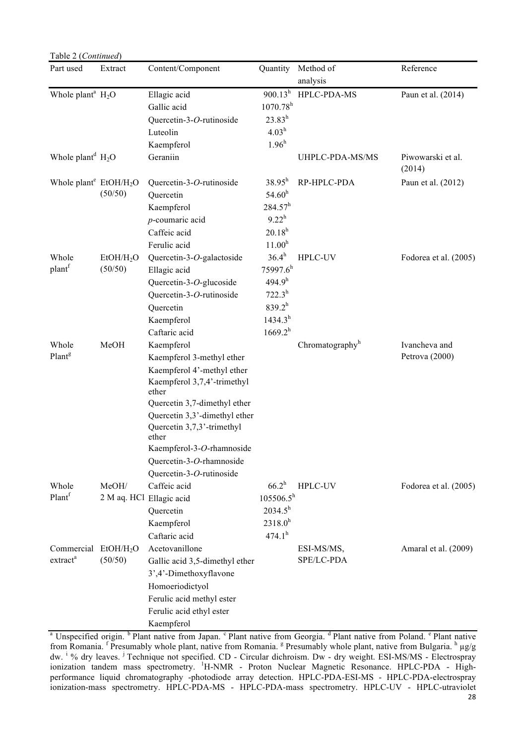| Table 2 (Continued)                                      |                                   |                                                                                                                                                                                                                                                                                                            |                                                                                                             |                             |                                 |
|----------------------------------------------------------|-----------------------------------|------------------------------------------------------------------------------------------------------------------------------------------------------------------------------------------------------------------------------------------------------------------------------------------------------------|-------------------------------------------------------------------------------------------------------------|-----------------------------|---------------------------------|
| Part used                                                | Extract                           | Content/Component                                                                                                                                                                                                                                                                                          | Quantity                                                                                                    | Method of<br>analysis       | Reference                       |
| Whole plant <sup>a</sup> $H_2O$                          |                                   | Ellagic acid<br>Gallic acid<br>Quercetin-3-O-rutinoside<br>Luteolin<br>Kaempferol                                                                                                                                                                                                                          | $900.13^h$<br>$1070.78^{h}$<br>$23.83^{h}$<br>4.03 <sup>h</sup><br>1.96 <sup>h</sup>                        | HPLC-PDA-MS                 | Paun et al. (2014)              |
| Whole plant <sup>d</sup> $H_2O$                          |                                   | Geraniin                                                                                                                                                                                                                                                                                                   |                                                                                                             | UHPLC-PDA-MS/MS             | Piwowarski et al.<br>(2014)     |
| Whole plant <sup>e</sup> EtOH/H <sub>2</sub> O           | (50/50)                           | Quercetin-3-O-rutinoside<br>Quercetin<br>Kaempferol<br>$p$ -coumaric acid<br>Caffeic acid<br>Ferulic acid                                                                                                                                                                                                  | $38.95^h$<br>$54.60^h$<br>$284.57^h$<br>$9.22^h$<br>$20.18^{h}$<br>11.00 <sup>h</sup>                       | RP-HPLC-PDA                 | Paun et al. (2012)              |
| Whole<br>plant <sup>f</sup>                              | EtOH/H <sub>2</sub> O<br>(50/50)  | Quercetin-3-O-galactoside<br>Ellagic acid<br>Quercetin-3-O-glucoside<br>Quercetin-3-O-rutinoside<br>Quercetin<br>Kaempferol<br>Caftaric acid                                                                                                                                                               | $36.4^{h}$<br>$75997.6^h$<br>494.9 <sup>h</sup><br>$722.3^{h}$<br>$839.2^{h}$<br>$1434.3^{h}$<br>$1669.2^h$ | <b>HPLC-UV</b>              | Fodorea et al. (2005)           |
| Whole<br>Plant <sup>g</sup>                              | MeOH                              | Kaempferol<br>Kaempferol 3-methyl ether<br>Kaempferol 4'-methyl ether<br>Kaempferol 3,7,4'-trimethyl<br>ether<br>Quercetin 3,7-dimethyl ether<br>Quercetin 3,3'-dimethyl ether<br>Quercetin 3,7,3'-trimethyl<br>ether<br>Kaempferol-3-O-rhamnoside<br>Quercetin-3-O-rhamnoside<br>Quercetin-3-O-rutinoside |                                                                                                             | Chromatography <sup>h</sup> | Ivancheva and<br>Petrova (2000) |
| Whole<br>Plant <sup>f</sup>                              | MeOH/<br>2 M aq. HCl Ellagic acid | Caffeic acid<br>Quercetin<br>Kaempferol<br>Caftaric acid                                                                                                                                                                                                                                                   | $66.2^h$<br>$105506.5^{h}$<br>$2034.5^h$<br>$2318.0^{h}$<br>$474.1^h$                                       | HPLC-UV                     | Fodorea et al. (2005)           |
| Commercial EtOH/H <sub>2</sub> O<br>extract <sup>a</sup> | (50/50)                           | Acetovanillone<br>Gallic acid 3,5-dimethyl ether<br>3',4'-Dimethoxyflavone<br>Homoeriodictyol<br>Ferulic acid methyl ester<br>Ferulic acid ethyl ester<br>Kaempferol                                                                                                                                       |                                                                                                             | ESI-MS/MS,<br>SPE/LC-PDA    | Amaral et al. (2009)            |

<sup>a</sup> Unspecified origin. <sup>b</sup> Plant native from Japan. <sup>c</sup> Plant native from Georgia. <sup>d</sup> Plant native from Poland. <sup>e</sup> Plant native from Romania. <sup>f</sup> Presumably whole plant, native from Romania. <sup>g</sup> Presumably whole plant, native from Bulgaria. <sup>h</sup> µg/g dw. <sup>i %</sup> dry leaves. <sup>j</sup> Technique not specified. CD - Circular dichroism. Dw - dry weight. ESI-MS/MS - Electrospray ionization tandem mass spectrometry. <sup>1</sup>H-NMR - Proton Nuclear Magnetic Resonance. HPLC-PDA - Highperformance liquid chromatography -photodiode array detection. HPLC-PDA-ESI-MS - HPLC-PDA-electrospray ionization-mass spectrometry. HPLC-PDA-MS - HPLC-PDA-mass spectrometry. HPLC-UV - HPLC-utraviolet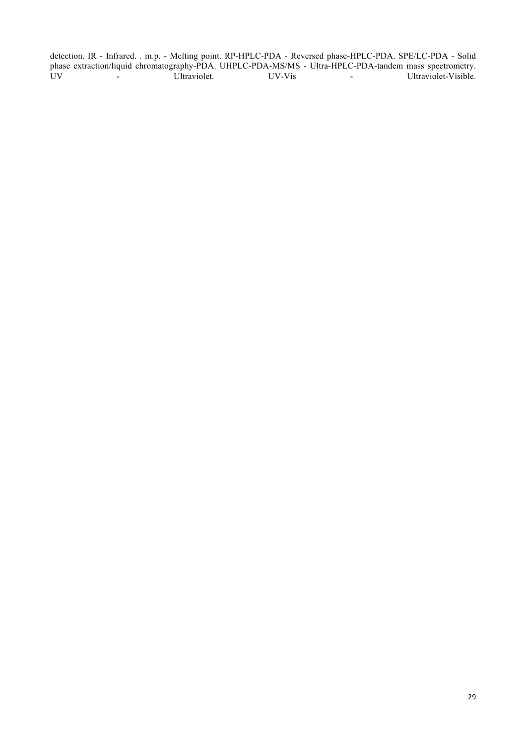detection. IR - Infrared. . m.p. - Melting point. RP-HPLC-PDA - Reversed phase-HPLC-PDA. SPE/LC-PDA - Solid phase extraction/liquid chromatography-PDA. UHPLC-PDA-MS/MS - Ultra-HPLC-PDA-tandem mass spectrometry. UV - Ultraviolet. UV-Vis - Ultraviolet-Visible.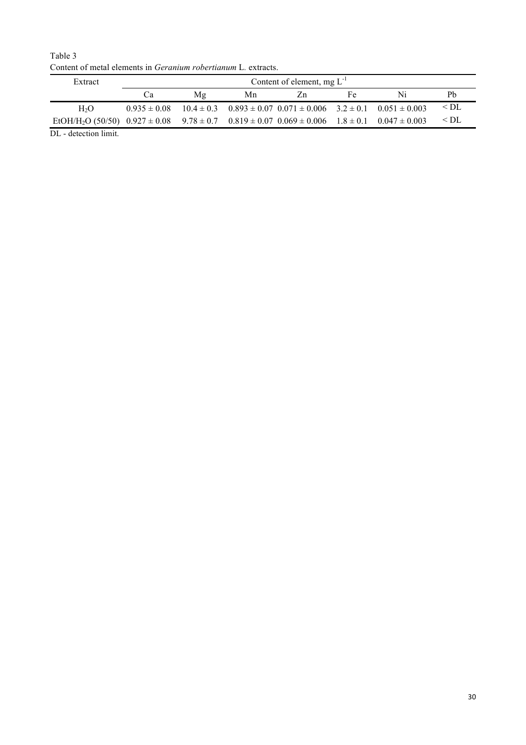Table 3 Content of metal elements in *Geranium robertianum* L*.* extracts.

| Extract                                                                                                                          |    | Content of element, $mg L^{-1}$ |    |                                                                                                    |    |    |           |  |  |  |
|----------------------------------------------------------------------------------------------------------------------------------|----|---------------------------------|----|----------------------------------------------------------------------------------------------------|----|----|-----------|--|--|--|
|                                                                                                                                  | Ċа | Mg                              | Mn | Zn                                                                                                 | Fe | Ni | Pb        |  |  |  |
| H <sub>2</sub> O                                                                                                                 |    |                                 |    | $0.935 \pm 0.08$ $10.4 \pm 0.3$ $0.893 \pm 0.07$ $0.071 \pm 0.006$ $3.2 \pm 0.1$ $0.051 \pm 0.003$ |    |    | $\leq$ DL |  |  |  |
| EtOH/H <sub>2</sub> O (50/50) $0.927 \pm 0.08$ $9.78 \pm 0.7$ $0.819 \pm 0.07$ $0.069 \pm 0.006$ $1.8 \pm 0.1$ $0.047 \pm 0.003$ |    |                                 |    |                                                                                                    |    |    | $\leq$ DL |  |  |  |
| DL - detection limit.                                                                                                            |    |                                 |    |                                                                                                    |    |    |           |  |  |  |

30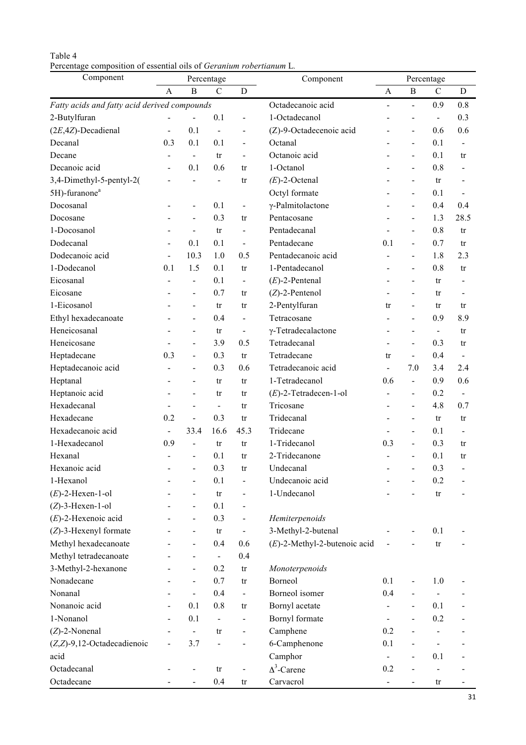| Table 4 |                                                                            |  |  |  |
|---------|----------------------------------------------------------------------------|--|--|--|
|         | Percentage composition of essential oils of <i>Geranium robertianum</i> L. |  |  |  |

| Component                                    |                              |                              | Percentage     |                          | Component                       |                              | Percentage               |                        |                              |
|----------------------------------------------|------------------------------|------------------------------|----------------|--------------------------|---------------------------------|------------------------------|--------------------------|------------------------|------------------------------|
|                                              | A                            | B                            | $\mathcal{C}$  | D                        |                                 | A                            | $\, {\bf B}$             | $\mathcal{C}$          | D                            |
| Fatty acids and fatty acid derived compounds |                              |                              |                |                          | Octadecanoic acid               | $\frac{1}{2}$                | $\blacksquare$           | 0.9                    | 0.8                          |
| 2-Butylfuran                                 |                              |                              | 0.1            | $\frac{1}{2}$            | 1-Octadecanol                   |                              | $\blacksquare$           | $\blacksquare$         | 0.3                          |
| $(2E, 4Z)$ -Decadienal                       | $\blacksquare$               | 0.1                          | $\blacksquare$ | $\overline{\phantom{0}}$ | (Z)-9-Octadecenoic acid         |                              | $\blacksquare$           | 0.6                    | 0.6                          |
| Decanal                                      | 0.3                          | 0.1                          | 0.1            | $\blacksquare$           | Octanal                         | $\blacksquare$               | $\blacksquare$           | 0.1                    | $\blacksquare$               |
| Decane                                       | $\overline{a}$               | $\bar{\phantom{a}}$          | tr             | $\blacksquare$           | Octanoic acid                   |                              | $\blacksquare$           | 0.1                    | tr                           |
| Decanoic acid                                | $\qquad \qquad \blacksquare$ | 0.1                          | 0.6            | tr                       | 1-Octanol                       |                              | $\blacksquare$           | 0.8                    | $\qquad \qquad \blacksquare$ |
| 3,4-Dimethyl-5-pentyl-2(                     |                              |                              | $\blacksquare$ | tr                       | $(E)$ -2-Octenal                |                              | $\blacksquare$           | tr                     | $\qquad \qquad \blacksquare$ |
| 5H)-furanone <sup>a</sup>                    |                              |                              |                |                          | Octyl formate                   |                              | $\blacksquare$           | 0.1                    |                              |
| Docosanal                                    |                              | $\overline{\phantom{0}}$     | 0.1            | $\blacksquare$           | $\gamma$ -Palmitolactone        |                              | $\blacksquare$           | 0.4                    | 0.4                          |
| Docosane                                     |                              | $\blacksquare$               | 0.3            | tr                       | Pentacosane                     |                              | $\blacksquare$           | 1.3                    | 28.5                         |
| 1-Docosanol                                  |                              | $\blacksquare$               | tr             | $\blacksquare$           | Pentadecanal                    | $\blacksquare$               | $\blacksquare$           | 0.8                    | tr                           |
| Dodecanal                                    | $\blacksquare$               | 0.1                          | 0.1            | $\blacksquare$           | Pentadecane                     | 0.1                          | $\blacksquare$           | 0.7                    | tr                           |
| Dodecanoic acid                              | $\blacksquare$               | 10.3                         | 1.0            | 0.5                      | Pentadecanoic acid              |                              | $\blacksquare$           | 1.8                    | 2.3                          |
| 1-Dodecanol                                  | 0.1                          | 1.5                          | 0.1            | tr                       | 1-Pentadecanol                  |                              | $\blacksquare$           | 0.8                    | tr                           |
| Eicosanal                                    | $\overline{a}$               | $\frac{1}{2}$                | 0.1            | $\blacksquare$           | $(E)$ -2-Pentenal               | $\qquad \qquad \blacksquare$ | $\overline{\phantom{a}}$ | tr                     |                              |
| Eicosane                                     |                              | $\blacksquare$               | 0.7            | tr                       | $(Z)$ -2-Pentenol               |                              | $\overline{a}$           | tr                     |                              |
| 1-Eicosanol                                  |                              | $\blacksquare$               | tr             | tr                       | 2-Pentylfuran                   | tr                           | $\blacksquare$           | tr                     | tr                           |
| Ethyl hexadecanoate                          |                              | $\blacksquare$               | 0.4            | $\blacksquare$           | Tetracosane                     | $\blacksquare$               | $\blacksquare$           | 0.9                    | 8.9                          |
| Heneicosanal                                 |                              | $\blacksquare$               | tr             | $\blacksquare$           | $\gamma$ -Tetradecalactone      |                              | $\overline{\phantom{a}}$ | $\frac{1}{2}$          | tr                           |
| Heneicosane                                  |                              | $\blacksquare$               | 3.9            | 0.5                      | Tetradecanal                    | $\blacksquare$               | $\blacksquare$           | 0.3                    | tr                           |
| Heptadecane                                  | 0.3                          | $\blacksquare$               | 0.3            | tr                       | Tetradecane                     | tr                           | $\blacksquare$           | 0.4                    | $\blacksquare$               |
| Heptadecanoic acid                           | $\overline{a}$               | $\blacksquare$               | 0.3            | 0.6                      | Tetradecanoic acid              | $\frac{1}{2}$                | 7.0                      | 3.4                    | 2.4                          |
| Heptanal                                     |                              | $\qquad \qquad \blacksquare$ | tr             | tr                       | 1-Tetradecanol                  | 0.6                          | $\blacksquare$           | 0.9                    | 0.6                          |
| Heptanoic acid                               |                              | $\blacksquare$               | tr             | tr                       | $(E)$ -2-Tetradecen-1-ol        | ä,                           | $\blacksquare$           | 0.2                    | $\overline{a}$               |
| Hexadecanal                                  |                              | $\blacksquare$               | $\blacksquare$ | tr                       | Tricosane                       | $\blacksquare$               | $\blacksquare$           | 4.8                    | 0.7                          |
| Hexadecane                                   | 0.2                          | $\blacksquare$               | 0.3            | tr                       | Tridecanal                      |                              | $\blacksquare$           | tr                     | tr                           |
| Hexadecanoic acid                            | $\blacksquare$               | 33.4                         | 16.6           | 45.3                     | Tridecane                       | $\blacksquare$               | $\tilde{\phantom{a}}$    | 0.1                    | $\blacksquare$               |
| 1-Hexadecanol                                | 0.9                          | $\blacksquare$               | tr             | tr                       | 1-Tridecanol                    | 0.3                          | $\blacksquare$           | 0.3                    | tr                           |
| Hexanal                                      |                              | $\qquad \qquad \blacksquare$ | 0.1            | tr                       | 2-Tridecanone                   |                              | $\overline{\phantom{a}}$ | 0.1                    | tr                           |
| Hexanoic acid                                |                              |                              | 0.3            | $\mathop{\mathrm{tr}}$   | Undecanal                       |                              |                          | 0.3                    |                              |
| 1-Hexanol                                    |                              |                              | 0.1            | $\blacksquare$           | Undecanoic acid                 |                              |                          | 0.2                    |                              |
| $(E)$ -2-Hexen-1-ol                          |                              | $\overline{\phantom{0}}$     | tr             | $\overline{\phantom{0}}$ | 1-Undecanol                     |                              |                          | $\mathop{\mathrm{tr}}$ |                              |
| $(Z)$ -3-Hexen-1-ol                          |                              |                              | 0.1            | Ξ.                       |                                 |                              |                          |                        |                              |
| $(E)$ -2-Hexenoic acid                       |                              |                              | 0.3            | $\blacksquare$           | Hemiterpenoids                  |                              |                          |                        |                              |
| $(Z)$ -3-Hexenyl formate                     |                              |                              | tr             | $\blacksquare$           | 3-Methyl-2-butenal              |                              |                          | 0.1                    |                              |
| Methyl hexadecanoate                         |                              |                              | 0.4            | 0.6                      | $(E)$ -2-Methyl-2-butenoic acid |                              |                          | $\mathop{\mathrm{tr}}$ |                              |
| Methyl tetradecanoate                        |                              |                              | $\blacksquare$ | 0.4                      |                                 |                              |                          |                        |                              |
| 3-Methyl-2-hexanone                          |                              |                              | 0.2            | tr                       | Monoterpenoids                  |                              |                          |                        |                              |
| Nonadecane                                   |                              |                              | 0.7            | tr                       | Borneol                         | 0.1                          |                          | 1.0                    |                              |
| Nonanal                                      |                              | $\qquad \qquad \blacksquare$ | 0.4            | $\blacksquare$           | Borneol isomer                  | 0.4                          |                          |                        |                              |
| Nonanoic acid                                |                              | 0.1                          | 0.8            | tr                       | Bornyl acetate                  | L,                           | $\blacksquare$           | 0.1                    |                              |
| 1-Nonanol                                    |                              | 0.1                          | $\blacksquare$ |                          | Bornyl formate                  | -                            |                          | 0.2                    |                              |
| $(Z)$ -2-Nonenal                             |                              | $\blacksquare$               | tr             | $\blacksquare$           | Camphene                        | 0.2                          |                          | -                      |                              |
| $(Z,Z)$ -9,12-Octadecadienoic                |                              | 3.7                          |                |                          | 6-Camphenone                    | 0.1                          |                          | ÷,                     |                              |
| acid                                         |                              |                              |                |                          | Camphor                         | $\qquad \qquad \blacksquare$ |                          | 0.1                    |                              |
| Octadecanal                                  |                              |                              | tr             | $\blacksquare$           | $\Delta^3$ -Carene              | 0.2                          |                          | $\overline{a}$         |                              |
| Octadecane                                   |                              |                              | 0.4            | tr                       | Carvacrol                       | $\blacksquare$               | $\blacksquare$           | tr                     |                              |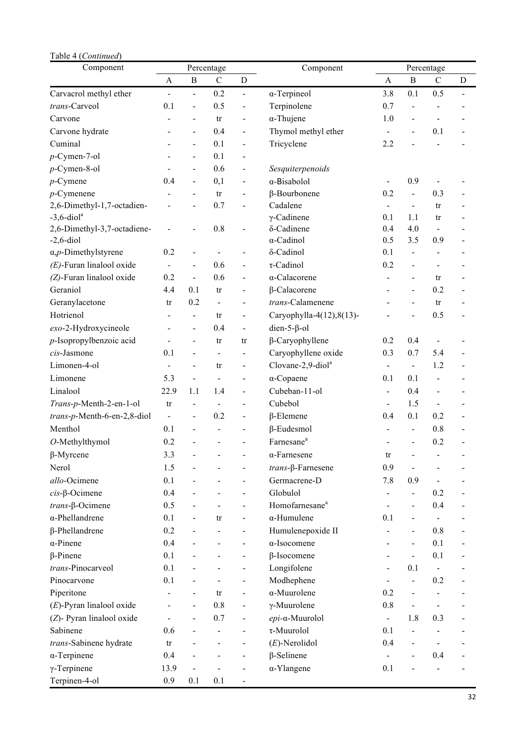| Table 4 (Continued)                  |                              |                              |                          |                              |                               |                |                              |                |                |
|--------------------------------------|------------------------------|------------------------------|--------------------------|------------------------------|-------------------------------|----------------|------------------------------|----------------|----------------|
| Component                            |                              |                              | Percentage               |                              | Component                     | Percentage     |                              |                |                |
|                                      | A                            | $\, {\bf B}$                 | $\mathcal{C}$            | D                            |                               | A              | $\mathbf B$                  | $\mathcal{C}$  | D              |
| Carvacrol methyl ether               | $\qquad \qquad \blacksquare$ | $\blacksquare$               | 0.2                      | $\blacksquare$               | $\alpha$ -Terpineol           | 3.8            | 0.1                          | 0.5            | $\blacksquare$ |
| trans-Carveol                        | 0.1                          | $\overline{\phantom{0}}$     | 0.5                      | $\blacksquare$               | Terpinolene                   | 0.7            | $\blacksquare$               |                |                |
| Carvone                              |                              | $\blacksquare$               | tr                       | $\overline{\phantom{0}}$     | $\alpha$ -Thujene             | 1.0            | $\overline{\phantom{a}}$     | $\blacksquare$ |                |
| Carvone hydrate                      | $\blacksquare$               | $\blacksquare$               | 0.4                      | $\blacksquare$               | Thymol methyl ether           | $\frac{1}{2}$  | $\blacksquare$               | 0.1            |                |
| Cuminal                              |                              | $\frac{1}{2}$                | 0.1                      | $\blacksquare$               | Tricyclene                    | 2.2            | $\blacksquare$               | $\overline{a}$ |                |
| $p$ -Cymen-7-ol                      | Ē,                           | $\overline{\phantom{a}}$     | 0.1                      | Ξ.                           |                               |                |                              |                |                |
| $p$ -Cymen-8-ol                      | $\blacksquare$               | $\blacksquare$               | 0.6                      | $\blacksquare$               | Sesquiterpenoids              |                |                              |                |                |
| $p$ -Cymene                          | 0.4                          | $\blacksquare$               | 0,1                      | $\qquad \qquad \blacksquare$ | $\alpha$ -Bisabolol           |                | 0.9                          | $\overline{a}$ |                |
| $p$ -Cymenene                        | $\blacksquare$               | $\blacksquare$               | tr                       | $\overline{\phantom{0}}$     | β-Bourbonene                  | 0.2            | $\blacksquare$               | 0.3            |                |
| 2,6-Dimethyl-1,7-octadien-           | $\overline{\phantom{a}}$     | L,                           | 0.7                      | $\blacksquare$               | Cadalene                      | $\blacksquare$ | $\blacksquare$               | tr             |                |
| $-3, 6$ -diol <sup>a</sup>           |                              |                              |                          |                              | $\gamma$ -Cadinene            | 0.1            | 1.1                          | tr             |                |
| 2,6-Dimethyl-3,7-octadiene-          | L,                           |                              | 0.8                      | $\blacksquare$               | δ-Cadinene                    | 0.4            | 4.0                          | $\blacksquare$ |                |
| $-2, 6$ -diol                        |                              |                              |                          |                              | $\alpha$ -Cadinol             | 0.5            | 3.5                          | 0.9            |                |
| $\alpha$ , <i>p</i> -Dimethylstyrene | 0.2                          | $\qquad \qquad \blacksquare$ |                          | -                            | δ-Cadinol                     | 0.1            | $\qquad \qquad \blacksquare$ | $\blacksquare$ |                |
| $(E)$ -Furan linalool oxide          | $\blacksquare$               | $\blacksquare$               | 0.6                      | $\overline{\phantom{0}}$     | $\tau$ -Cadinol               | 0.2            | $\blacksquare$               | $\blacksquare$ |                |
| (Z)-Furan linalool oxide             | 0.2                          | L.                           | 0.6                      | $\blacksquare$               | α-Calacorene                  | $\blacksquare$ | $\blacksquare$               | tr             |                |
| Geraniol                             | 4.4                          | 0.1                          | tr                       | $\overline{\phantom{0}}$     | $\beta$ -Calacorene           |                | $\blacksquare$               | 0.2            |                |
| Geranylacetone                       | tr                           | 0.2                          | $\overline{\phantom{0}}$ | $\overline{\phantom{0}}$     | trans-Calamenene              |                | ÷                            | tr             |                |
| Hotrienol                            | $\qquad \qquad \blacksquare$ | $\blacksquare$               | tr                       | $\blacksquare$               | Caryophylla-4(12), 8(13)-     |                |                              | 0.5            |                |
| exo-2-Hydroxycineole                 | $\hbox{\small -}$            | $\frac{1}{2}$                | 0.4                      | $\blacksquare$               | dien-5- $\beta$ -ol           |                |                              |                |                |
| $p$ -Isopropylbenzoic acid           | $\blacksquare$               | L,                           | tr                       | tr                           | $\beta$ -Caryophyllene        | 0.2            | 0.4                          | $\blacksquare$ |                |
| cis-Jasmone                          | 0.1                          | L,                           |                          |                              | Caryophyllene oxide           | 0.3            | 0.7                          | 5.4            |                |
| Limonen-4-ol                         | $\blacksquare$               | $\frac{1}{2}$                | tr                       | $\blacksquare$               | Clovane-2,9-diol <sup>a</sup> | $\blacksquare$ | $\blacksquare$               | 1.2            |                |
| Limonene                             | 5.3                          | ÷,                           | $\bar{a}$                | $\blacksquare$               | $\alpha$ -Copaene             | 0.1            | 0.1                          | $\blacksquare$ |                |
| Linalool                             | 22.9                         | 1.1                          | 1.4                      | $\overline{\phantom{0}}$     | Cubeban-11-ol                 | $\blacksquare$ | 0.4                          | $\blacksquare$ |                |
| Trans-p-Menth-2-en-1-ol              | tr                           | $\blacksquare$               |                          | Ξ.                           | Cubebol                       | $\frac{1}{2}$  | 1.5                          | $\frac{1}{2}$  |                |
| trans-p-Menth-6-en-2,8-diol          | $\frac{1}{2}$                | $\blacksquare$               | 0.2                      | $\overline{\phantom{0}}$     | $\beta$ -Elemene              | 0.4            | 0.1                          | 0.2            |                |
| Menthol                              | 0.1                          |                              |                          | -                            | $\beta$ -Eudesmol             |                | $\qquad \qquad \blacksquare$ | 0.8            |                |
| $O$ -Methylthymol                    | 0.2                          |                              |                          | $\overline{\phantom{0}}$     | Farnesane <sup>a</sup>        |                | $\blacksquare$               | 0.2            |                |
| $\beta$ -Myrcene                     | 3.3                          |                              |                          |                              | $\alpha$ -Farnesene           | tr             |                              |                |                |
| Nerol                                | 1.5                          |                              |                          |                              | $trans$ - $\beta$ -Farnesene  | 0.9            |                              |                |                |
| allo-Ocimene                         | 0.1                          |                              |                          | -                            | Germacrene-D                  | 7.8            | 0.9                          |                |                |
| $cis$ - $\beta$ -Ocimene             | 0.4                          | ÷,                           |                          | $\overline{\phantom{0}}$     | Globulol                      | $\frac{1}{2}$  | $\blacksquare$               | 0.2            |                |
| $trans-\beta-Ocimene$                | 0.5                          |                              |                          |                              | Homofarnesane <sup>a</sup>    | $\blacksquare$ | $\blacksquare$               | 0.4            |                |
| $\alpha$ -Phellandrene               | 0.1                          |                              | tr                       |                              | $\alpha$ -Humulene            | 0.1            | $\blacksquare$               |                |                |
| $\beta$ -Phellandrene                | 0.2                          |                              |                          | $\overline{\phantom{0}}$     | Humulenepoxide II             |                | $\blacksquare$               | 0.8            |                |
| $\alpha$ -Pinene                     | 0.4                          |                              |                          | $\overline{\phantom{0}}$     | α-Isocomene                   |                | $\blacksquare$               | 0.1            |                |
| $\beta$ -Pinene                      | 0.1                          |                              |                          | $\overline{\phantom{0}}$     | $\beta$ -Isocomene            | $\blacksquare$ | $\blacksquare$               | 0.1            |                |
| trans-Pinocarveol                    | 0.1                          |                              |                          | $\overline{\phantom{0}}$     | Longifolene                   | $\blacksquare$ | 0.1                          | $\Box$         |                |
| Pinocarvone                          | 0.1                          |                              |                          |                              | Modhephene                    |                | $\blacksquare$               | 0.2            |                |
| Piperitone                           |                              |                              | tr                       |                              | α-Muurolene                   | 0.2            | $\blacksquare$               |                |                |
| $(E)$ -Pyran linalool oxide          | $\overline{\phantom{0}}$     | L,                           | 0.8                      | $\qquad \qquad \blacksquare$ | $\gamma$ -Muurolene           | 0.8            | $\blacksquare$               | $\blacksquare$ |                |
| (Z)- Pyran linalool oxide            | $\blacksquare$               | $\overline{a}$               | 0.7                      | $\overline{\phantom{0}}$     | epi-α-Muurolol                | $\blacksquare$ | 1.8                          | 0.3            |                |
| Sabinene                             | 0.6                          |                              | $\frac{1}{2}$            | $\overline{\phantom{0}}$     | $\tau$ -Muurolol              | 0.1            | -                            | $\blacksquare$ |                |
| trans-Sabinene hydrate               | tr                           |                              |                          | $\overline{\phantom{0}}$     | $(E)$ -Nerolidol              | 0.4            | $\blacksquare$               | $\blacksquare$ |                |
| $\alpha$ -Terpinene                  | 0.4                          |                              |                          |                              | $\beta$ -Selinene             |                |                              | 0.4            |                |
| $\gamma$ -Terpinene                  | 13.9                         | $\blacksquare$               |                          | $\overline{\phantom{0}}$     | $\alpha$ -Ylangene            | 0.1            |                              |                |                |
| Terpinen-4-ol                        | 0.9                          | 0.1                          | 0.1                      | $\blacksquare$               |                               |                |                              |                |                |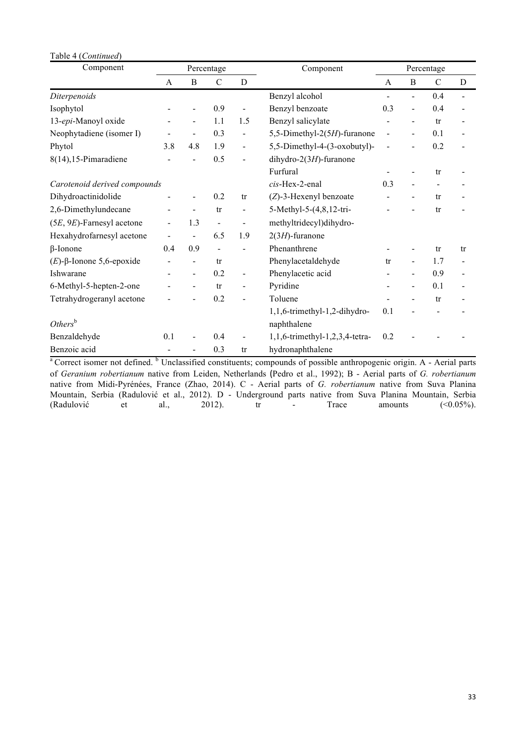| Table 4 (Continued)          |     |                         |                          |                          |                                |                |                          |                              |                |
|------------------------------|-----|-------------------------|--------------------------|--------------------------|--------------------------------|----------------|--------------------------|------------------------------|----------------|
| Component                    |     |                         | Percentage               |                          | Component                      | Percentage     |                          |                              |                |
|                              | A   | B<br>$\mathcal{C}$<br>D |                          | A                        | B                              | $\mathcal{C}$  | D                        |                              |                |
| Diterpenoids                 |     |                         |                          |                          | Benzyl alcohol                 | $\blacksquare$ | $\blacksquare$           | 0.4                          | $\blacksquare$ |
| Isophytol                    |     |                         | 0.9                      | $\blacksquare$           | Benzyl benzoate                | 0.3            | $\blacksquare$           | 0.4                          | $\blacksquare$ |
| 13-epi-Manoyl oxide          |     | $\blacksquare$          | 1.1                      | 1.5                      | Benzyl salicylate              |                | $\blacksquare$           | tr                           |                |
| Neophytadiene (isomer I)     |     |                         | 0.3                      | $\blacksquare$           | 5,5-Dimethyl-2(5H)-furanone    | L,             |                          | 0.1                          |                |
| Phytol                       | 3.8 | 4.8                     | 1.9                      | $\blacksquare$           | 5,5-Dimethyl-4-(3-oxobutyl)-   |                |                          | 0.2                          |                |
| $8(14)$ , 15-Pimaradiene     |     |                         | 0.5                      | $\overline{\phantom{a}}$ | dihydro-2(3H)-furanone         |                |                          |                              |                |
|                              |     |                         |                          |                          | Furfural                       |                |                          | tr                           |                |
| Carotenoid derived compounds |     |                         |                          |                          | cis-Hex-2-enal                 | 0.3            |                          | ÷,                           |                |
| Dihydroactinidolide          |     | $\blacksquare$          | 0.2                      | tr                       | $(Z)$ -3-Hexenyl benzoate      |                | $\overline{\phantom{0}}$ | tr                           |                |
| 2,6-Dimethylundecane         |     |                         | tr                       | $\blacksquare$           | 5-Methyl-5-(4,8,12-tri-        |                |                          | tr                           |                |
| $(5E, 9E)$ -Farnesyl acetone | -   | 1.3                     | $\blacksquare$           | $\blacksquare$           | methyltridecyl)dihydro-        |                |                          |                              |                |
| Hexahydrofarnesyl acetone    |     |                         | 6.5                      | 1.9                      | $2(3H)$ -furanone              |                |                          |                              |                |
| $\beta$ -Ionone              | 0.4 | 0.9                     | $\overline{\phantom{a}}$ |                          | Phenanthrene                   |                |                          | tr                           | tr             |
| $(E)$ -β-Ionone 5,6-epoxide  |     |                         | tr                       |                          | Phenylacetaldehyde             | tr             | $\blacksquare$           | 1.7                          |                |
| Ishwarane                    |     | $\blacksquare$          | 0.2                      | $\blacksquare$           | Phenylacetic acid              |                | $\blacksquare$           | 0.9                          |                |
| 6-Methyl-5-hepten-2-one      |     | $\blacksquare$          | tr                       | $\blacksquare$           | Pyridine                       |                | L,                       | 0.1                          |                |
| Tetrahydrogeranyl acetone    |     |                         | 0.2                      | $\blacksquare$           | Toluene                        |                |                          | tr                           |                |
|                              |     |                         |                          |                          | 1,1,6-trimethyl-1,2-dihydro-   | 0.1            |                          | $\qquad \qquad \blacksquare$ |                |
| $Others^b$                   |     |                         |                          |                          | naphthalene                    |                |                          |                              |                |
| Benzaldehyde                 | 0.1 |                         | 0.4                      | $\overline{\phantom{a}}$ | 1,1,6-trimethyl-1,2,3,4-tetra- | 0.2            |                          |                              |                |
| Benzoic acid                 |     |                         | 0.3                      | tr                       | hydronaphthalene               |                |                          |                              |                |

<sup>a</sup> Correct isomer not defined. <sup>b</sup> Unclassified constituents; compounds of possible anthropogenic origin. A - Aerial parts of *Geranium robertianum* native from Leiden, Netherlands (Pedro et al., 1992); B - Aerial parts of *G. robertianum* native from Midi-Pyrénées, France (Zhao, 2014). C - Aerial parts of *G. robertianum* native from Suva Planina Mountain, Serbia (Radulović et al., 2012). D - Underground parts native from Suva Planina Mountain, Serbia (Radulović et al., 2012). tr - Trace amounts  $($ <0.05%).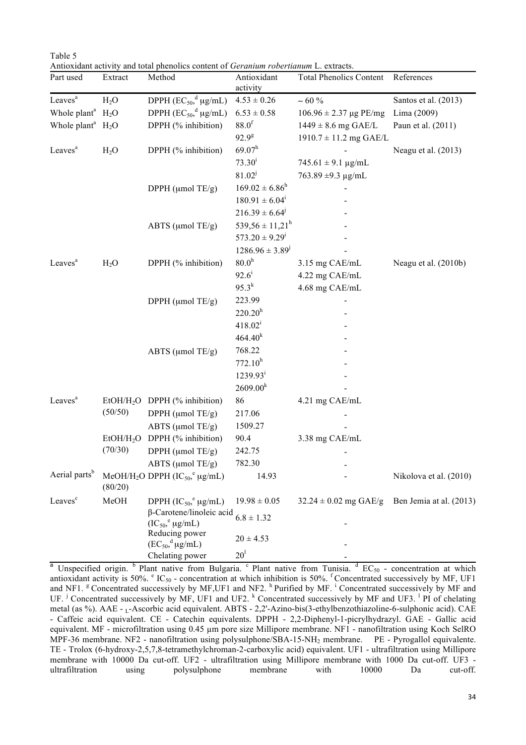Table 5 Antioxidant activity and total phenolics content of *Geranium robertianum* L. extracts.

| Part used                 | Extract               | Method                                                             | Antioxidant<br>activity        | <b>Total Phenolics Content</b>           | References              |
|---------------------------|-----------------------|--------------------------------------------------------------------|--------------------------------|------------------------------------------|-------------------------|
| Leaves <sup>a</sup>       | H <sub>2</sub> O      | DPPH $(EC_{50},^d \mu g/mL)$                                       | $4.53 \pm 0.26$                | $~1$ 60 $\%$                             | Santos et al. (2013)    |
| Whole plant <sup>a</sup>  | H <sub>2</sub> O      | DPPH $(EC_{50}^{\dagger})$ µg/mL)                                  | $6.53 \pm 0.58$                | $106.96 \pm 2.37 \,\mu g \,\text{PE/mg}$ | Lima (2009)             |
| Whole plant <sup>a</sup>  | $H_2O$                | DPPH (% inhibition)                                                | 88.0 <sup>f</sup>              | $1449 \pm 8.6$ mg GAE/L                  | Paun et al. (2011)      |
|                           |                       |                                                                    | $92.9^{8}$                     | $1910.7 \pm 11.2$ mg GAE/L               |                         |
| Leaves <sup>a</sup>       | $H_2O$                | DPPH (% inhibition)                                                | $69.07^h$                      |                                          | Neagu et al. (2013)     |
|                           |                       |                                                                    | $73.30^{i}$                    | $745.61 \pm 9.1 \,\mu g/mL$              |                         |
|                           |                       |                                                                    | $81.02^{j}$                    | $763.89 \pm 9.3 \text{ µg/mL}$           |                         |
|                           |                       | DPPH (µmol TE/g)                                                   | $169.02 \pm 6.86^{\text{h}}$   |                                          |                         |
|                           |                       |                                                                    | $180.91 \pm 6.04^{\mathrm{i}}$ |                                          |                         |
|                           |                       |                                                                    | $216.39 \pm 6.64^{\circ}$      |                                          |                         |
|                           |                       | ABTS (µmol TE/g)                                                   | $539,56 \pm 11,21^{\rm h}$     |                                          |                         |
|                           |                       |                                                                    | $573.20 \pm 9.29$ <sup>1</sup> |                                          |                         |
|                           |                       |                                                                    | $1286.96 \pm 3.89^{j}$         |                                          |                         |
| Leaves <sup>a</sup>       | H <sub>2</sub> O      | DPPH (% inhibition)                                                | 80.0 <sup>h</sup>              | 3.15 mg CAE/mL                           | Neagu et al. (2010b)    |
|                           |                       |                                                                    | $92.6^{i}$                     | 4.22 mg CAE/mL                           |                         |
|                           |                       |                                                                    | $95.3^{k}$                     | 4.68 mg CAE/mL                           |                         |
|                           |                       | DPPH (µmol TE/g)                                                   | 223.99                         |                                          |                         |
|                           |                       |                                                                    | $220.20^h$                     |                                          |                         |
|                           |                       |                                                                    | $418.02^i$                     |                                          |                         |
|                           |                       |                                                                    | 464.40 <sup>k</sup>            |                                          |                         |
|                           |                       | ABTS (µmol TE/g)                                                   | 768.22                         |                                          |                         |
|                           |                       |                                                                    | 772.10 <sup>h</sup>            |                                          |                         |
|                           |                       |                                                                    | $1239.93^i$                    |                                          |                         |
|                           |                       |                                                                    | $2609.00^{k}$                  |                                          |                         |
| Leaves <sup>a</sup>       |                       | EtOH/H <sub>2</sub> O DPPH (% inhibition)                          | 86                             | 4.21 mg CAE/mL                           |                         |
|                           | (50/50)               | DPPH (µmol TE/g)                                                   | 217.06                         |                                          |                         |
|                           |                       | ABTS ( $\mu$ mol TE/g)                                             | 1509.27                        |                                          |                         |
|                           | EtOH/H <sub>2</sub> O | DPPH (% inhibition)                                                | 90.4                           | 3.38 mg CAE/mL                           |                         |
|                           | (70/30)               | DPPH (µmol TE/g)                                                   | 242.75                         |                                          |                         |
|                           |                       | ABTS (µmol TE/g)                                                   | 782.30                         |                                          |                         |
| Aerial parts <sup>b</sup> | (80/20)               | MeOH/H <sub>2</sub> O DPPH (IC <sub>50</sub> , <sup>e</sup> µg/mL) | 14.93                          |                                          | Nikolova et al. (2010)  |
| Leaves <sup>c</sup>       | MeOH                  | DPPH $({IC}_{50}$ <sup>e</sup> µg/mL)                              | $19.98 \pm 0.05$               | $32.24 \pm 0.02$ mg GAE/g                | Ben Jemia at al. (2013) |
|                           |                       | β-Carotene/linoleic acid                                           | $6.8 \pm 1.32$                 |                                          |                         |
|                           |                       | $(IC_{50}^{\circ}$ ug/mL)                                          |                                |                                          |                         |
|                           |                       | Reducing power<br>$(EC_{50}, ^d \mu g/mL)$                         | $20 \pm 4.53$                  |                                          |                         |
|                           |                       | Chelating power                                                    | 20 <sup>1</sup>                |                                          |                         |

<sup>a</sup> Unspecified origin.  $\frac{b}{c}$  Plant native from Bulgaria. <sup>c</sup> Plant native from Tunisia.  $\frac{d}{c} EC_{50}$  - concentration at which antioxidant activity is 50%.  $e^t$  IC<sub>50</sub> - concentration at which inhibition is 50%. <sup>f</sup> Concentrated successively by MF, UF1 and NF1.<sup>8</sup> Concentrated successively by MF,UF1 and NF2.<sup>h</sup> Purified by MF.<sup>i</sup> Concentrated successively by MF and UF. <sup>j</sup> Concentrated successively by MF, UF1 and UF2. <sup>k</sup> Concentrated successively by MF and UF3. <sup>1</sup> PI of chelating metal (as %). AAE - <sub>L</sub>-Ascorbic acid equivalent. ABTS - 2,2'-Azino-bis(3-ethylbenzothiazoline-6-sulphonic acid). CAE - Caffeic acid equivalent. CE - Catechin equivalents. DPPH - 2,2-Diphenyl-1-picrylhydrazyl. GAE - Gallic acid equivalent. MF - microfiltration using 0.45 µm pore size Millipore membrane. NF1 - nanofiltration using Koch SelRO MPF-36 membrane. NF2 - nanofiltration using polysulphone/SBA-15-NH2 membrane. PE - Pyrogallol equivalente. TE - Trolox (6-hydroxy-2,5,7,8-tetramethylchroman-2-carboxylic acid) equivalent. UF1 - ultrafiltration using Millipore membrane with 10000 Da cut-off. UF2 - ultrafiltration using Millipore membrane with 1000 Da cut-off. UF3 ultrafiltration using polysulphone membrane with 10000 Da cut-off.